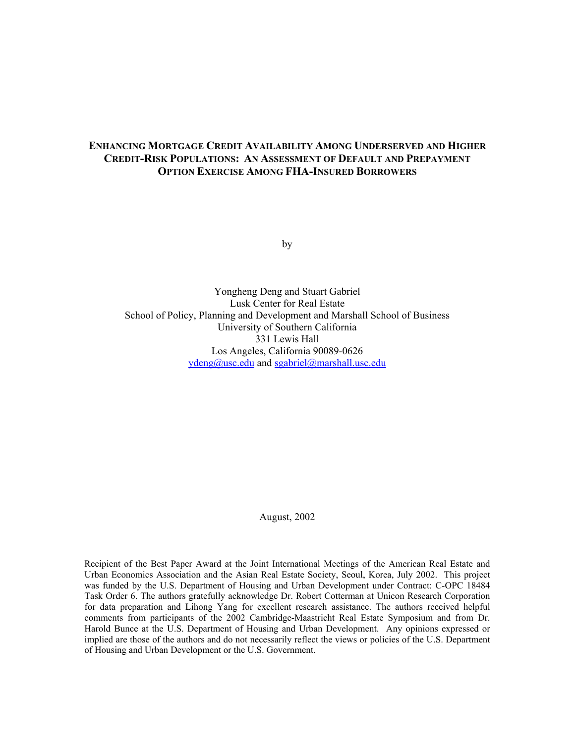# **ENHANCING MORTGAGE CREDIT AVAILABILITY AMONG UNDERSERVED AND HIGHER CREDIT-RISK POPULATIONS: AN ASSESSMENT OF DEFAULT AND PREPAYMENT OPTION EXERCISE AMONG FHA-INSURED BORROWERS**

by

Yongheng Deng and Stuart Gabriel Lusk Center for Real Estate School of Policy, Planning and Development and Marshall School of Business University of Southern California 331 Lewis Hall Los Angeles, California 90089-0626 ydeng@usc.edu and sgabriel@marshall.usc.edu

August, 2002

Recipient of the Best Paper Award at the Joint International Meetings of the American Real Estate and Urban Economics Association and the Asian Real Estate Society, Seoul, Korea, July 2002. This project was funded by the U.S. Department of Housing and Urban Development under Contract: C-OPC 18484 Task Order 6. The authors gratefully acknowledge Dr. Robert Cotterman at Unicon Research Corporation for data preparation and Lihong Yang for excellent research assistance. The authors received helpful comments from participants of the 2002 Cambridge-Maastricht Real Estate Symposium and from Dr. Harold Bunce at the U.S. Department of Housing and Urban Development. Any opinions expressed or implied are those of the authors and do not necessarily reflect the views or policies of the U.S. Department of Housing and Urban Development or the U.S. Government.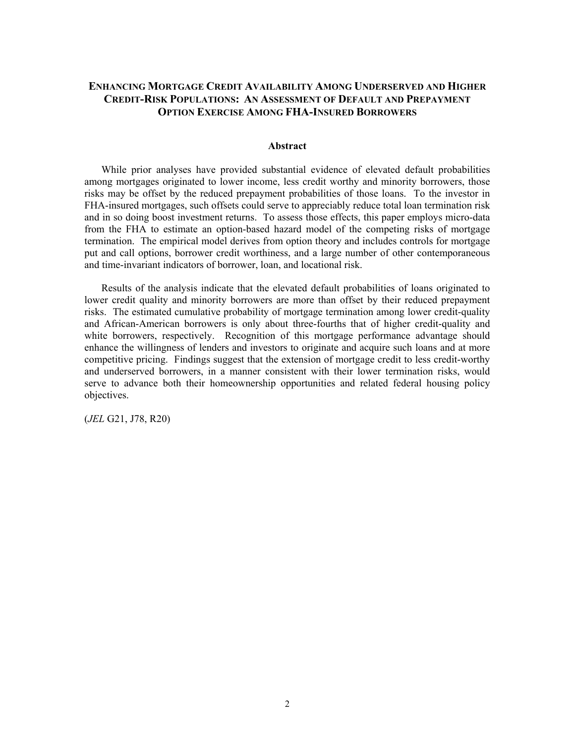# **ENHANCING MORTGAGE CREDIT AVAILABILITY AMONG UNDERSERVED AND HIGHER CREDIT-RISK POPULATIONS: AN ASSESSMENT OF DEFAULT AND PREPAYMENT OPTION EXERCISE AMONG FHA-INSURED BORROWERS**

### **Abstract**

While prior analyses have provided substantial evidence of elevated default probabilities among mortgages originated to lower income, less credit worthy and minority borrowers, those risks may be offset by the reduced prepayment probabilities of those loans. To the investor in FHA-insured mortgages, such offsets could serve to appreciably reduce total loan termination risk and in so doing boost investment returns. To assess those effects, this paper employs micro-data from the FHA to estimate an option-based hazard model of the competing risks of mortgage termination. The empirical model derives from option theory and includes controls for mortgage put and call options, borrower credit worthiness, and a large number of other contemporaneous and time-invariant indicators of borrower, loan, and locational risk.

Results of the analysis indicate that the elevated default probabilities of loans originated to lower credit quality and minority borrowers are more than offset by their reduced prepayment risks. The estimated cumulative probability of mortgage termination among lower credit-quality and African-American borrowers is only about three-fourths that of higher credit-quality and white borrowers, respectively. Recognition of this mortgage performance advantage should enhance the willingness of lenders and investors to originate and acquire such loans and at more competitive pricing. Findings suggest that the extension of mortgage credit to less credit-worthy and underserved borrowers, in a manner consistent with their lower termination risks, would serve to advance both their homeownership opportunities and related federal housing policy objectives.

(*JEL* G21, J78, R20)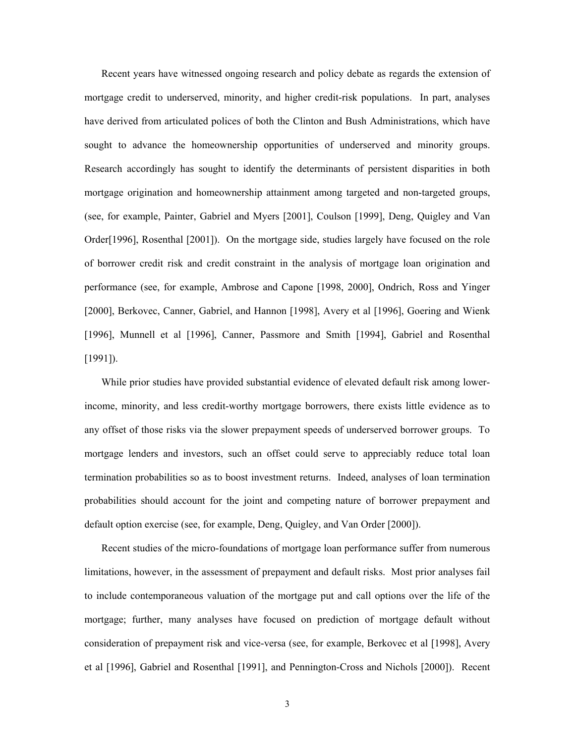Recent years have witnessed ongoing research and policy debate as regards the extension of mortgage credit to underserved, minority, and higher credit-risk populations. In part, analyses have derived from articulated polices of both the Clinton and Bush Administrations, which have sought to advance the homeownership opportunities of underserved and minority groups. Research accordingly has sought to identify the determinants of persistent disparities in both mortgage origination and homeownership attainment among targeted and non-targeted groups, (see, for example, Painter, Gabriel and Myers [2001], Coulson [1999], Deng, Quigley and Van Order[1996], Rosenthal [2001]). On the mortgage side, studies largely have focused on the role of borrower credit risk and credit constraint in the analysis of mortgage loan origination and performance (see, for example, Ambrose and Capone [1998, 2000], Ondrich, Ross and Yinger [2000], Berkovec, Canner, Gabriel, and Hannon [1998], Avery et al [1996], Goering and Wienk [1996], Munnell et al [1996], Canner, Passmore and Smith [1994], Gabriel and Rosenthal [1991]).

While prior studies have provided substantial evidence of elevated default risk among lowerincome, minority, and less credit-worthy mortgage borrowers, there exists little evidence as to any offset of those risks via the slower prepayment speeds of underserved borrower groups. To mortgage lenders and investors, such an offset could serve to appreciably reduce total loan termination probabilities so as to boost investment returns. Indeed, analyses of loan termination probabilities should account for the joint and competing nature of borrower prepayment and default option exercise (see, for example, Deng, Quigley, and Van Order [2000]).

Recent studies of the micro-foundations of mortgage loan performance suffer from numerous limitations, however, in the assessment of prepayment and default risks. Most prior analyses fail to include contemporaneous valuation of the mortgage put and call options over the life of the mortgage; further, many analyses have focused on prediction of mortgage default without consideration of prepayment risk and vice-versa (see, for example, Berkovec et al [1998], Avery et al [1996], Gabriel and Rosenthal [1991], and Pennington-Cross and Nichols [2000]). Recent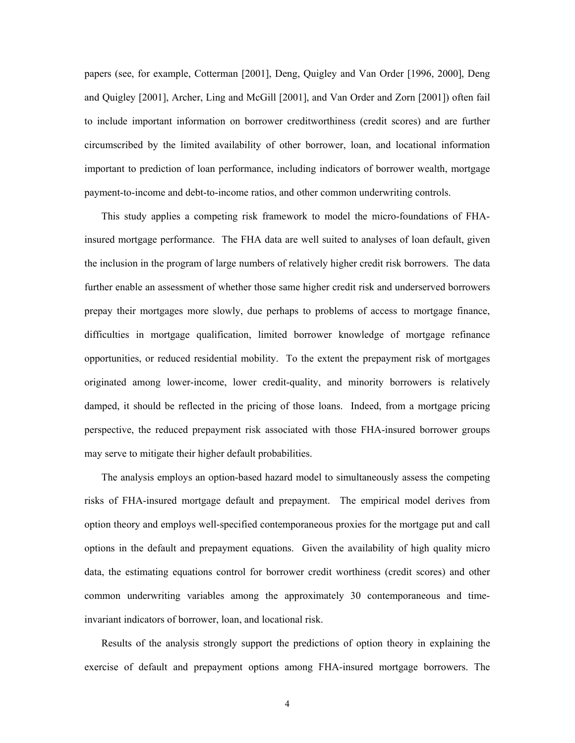papers (see, for example, Cotterman [2001], Deng, Quigley and Van Order [1996, 2000], Deng and Quigley [2001], Archer, Ling and McGill [2001], and Van Order and Zorn [2001]) often fail to include important information on borrower creditworthiness (credit scores) and are further circumscribed by the limited availability of other borrower, loan, and locational information important to prediction of loan performance, including indicators of borrower wealth, mortgage payment-to-income and debt-to-income ratios, and other common underwriting controls.

This study applies a competing risk framework to model the micro-foundations of FHAinsured mortgage performance. The FHA data are well suited to analyses of loan default, given the inclusion in the program of large numbers of relatively higher credit risk borrowers. The data further enable an assessment of whether those same higher credit risk and underserved borrowers prepay their mortgages more slowly, due perhaps to problems of access to mortgage finance, difficulties in mortgage qualification, limited borrower knowledge of mortgage refinance opportunities, or reduced residential mobility. To the extent the prepayment risk of mortgages originated among lower-income, lower credit-quality, and minority borrowers is relatively damped, it should be reflected in the pricing of those loans. Indeed, from a mortgage pricing perspective, the reduced prepayment risk associated with those FHA-insured borrower groups may serve to mitigate their higher default probabilities.

The analysis employs an option-based hazard model to simultaneously assess the competing risks of FHA-insured mortgage default and prepayment. The empirical model derives from option theory and employs well-specified contemporaneous proxies for the mortgage put and call options in the default and prepayment equations. Given the availability of high quality micro data, the estimating equations control for borrower credit worthiness (credit scores) and other common underwriting variables among the approximately 30 contemporaneous and timeinvariant indicators of borrower, loan, and locational risk.

Results of the analysis strongly support the predictions of option theory in explaining the exercise of default and prepayment options among FHA-insured mortgage borrowers. The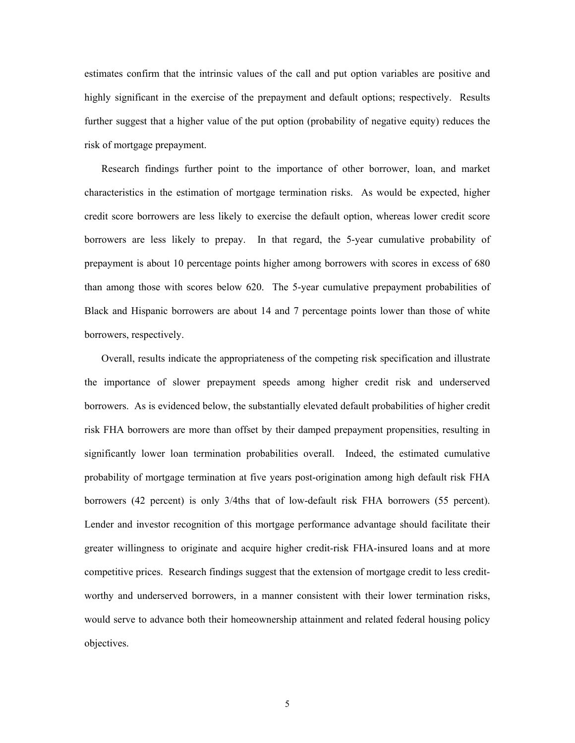estimates confirm that the intrinsic values of the call and put option variables are positive and highly significant in the exercise of the prepayment and default options; respectively. Results further suggest that a higher value of the put option (probability of negative equity) reduces the risk of mortgage prepayment.

Research findings further point to the importance of other borrower, loan, and market characteristics in the estimation of mortgage termination risks. As would be expected, higher credit score borrowers are less likely to exercise the default option, whereas lower credit score borrowers are less likely to prepay. In that regard, the 5-year cumulative probability of prepayment is about 10 percentage points higher among borrowers with scores in excess of 680 than among those with scores below 620. The 5-year cumulative prepayment probabilities of Black and Hispanic borrowers are about 14 and 7 percentage points lower than those of white borrowers, respectively.

Overall, results indicate the appropriateness of the competing risk specification and illustrate the importance of slower prepayment speeds among higher credit risk and underserved borrowers. As is evidenced below, the substantially elevated default probabilities of higher credit risk FHA borrowers are more than offset by their damped prepayment propensities, resulting in significantly lower loan termination probabilities overall. Indeed, the estimated cumulative probability of mortgage termination at five years post-origination among high default risk FHA borrowers (42 percent) is only 3/4ths that of low-default risk FHA borrowers (55 percent). Lender and investor recognition of this mortgage performance advantage should facilitate their greater willingness to originate and acquire higher credit-risk FHA-insured loans and at more competitive prices. Research findings suggest that the extension of mortgage credit to less creditworthy and underserved borrowers, in a manner consistent with their lower termination risks, would serve to advance both their homeownership attainment and related federal housing policy objectives.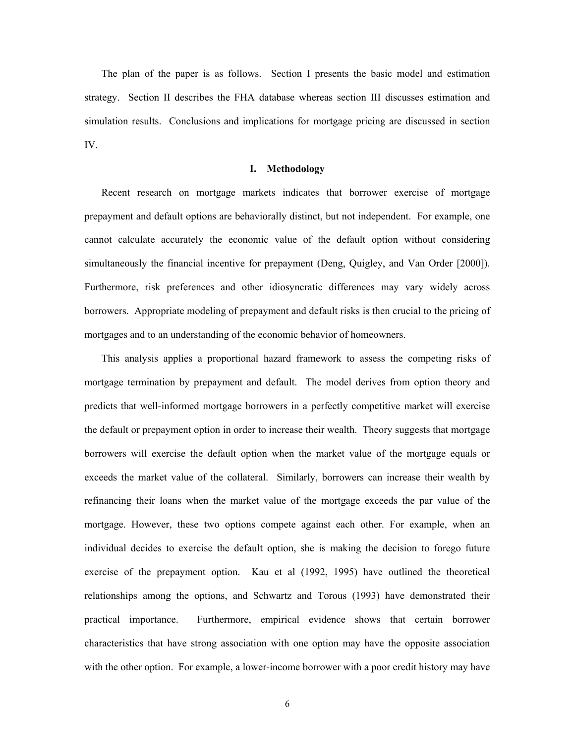The plan of the paper is as follows. Section I presents the basic model and estimation strategy. Section II describes the FHA database whereas section III discusses estimation and simulation results. Conclusions and implications for mortgage pricing are discussed in section IV.

### **I. Methodology**

Recent research on mortgage markets indicates that borrower exercise of mortgage prepayment and default options are behaviorally distinct, but not independent. For example, one cannot calculate accurately the economic value of the default option without considering simultaneously the financial incentive for prepayment (Deng, Quigley, and Van Order [2000]). Furthermore, risk preferences and other idiosyncratic differences may vary widely across borrowers. Appropriate modeling of prepayment and default risks is then crucial to the pricing of mortgages and to an understanding of the economic behavior of homeowners.

This analysis applies a proportional hazard framework to assess the competing risks of mortgage termination by prepayment and default. The model derives from option theory and predicts that well-informed mortgage borrowers in a perfectly competitive market will exercise the default or prepayment option in order to increase their wealth. Theory suggests that mortgage borrowers will exercise the default option when the market value of the mortgage equals or exceeds the market value of the collateral. Similarly, borrowers can increase their wealth by refinancing their loans when the market value of the mortgage exceeds the par value of the mortgage. However, these two options compete against each other. For example, when an individual decides to exercise the default option, she is making the decision to forego future exercise of the prepayment option. Kau et al (1992, 1995) have outlined the theoretical relationships among the options, and Schwartz and Torous (1993) have demonstrated their practical importance. Furthermore, empirical evidence shows that certain borrower characteristics that have strong association with one option may have the opposite association with the other option. For example, a lower-income borrower with a poor credit history may have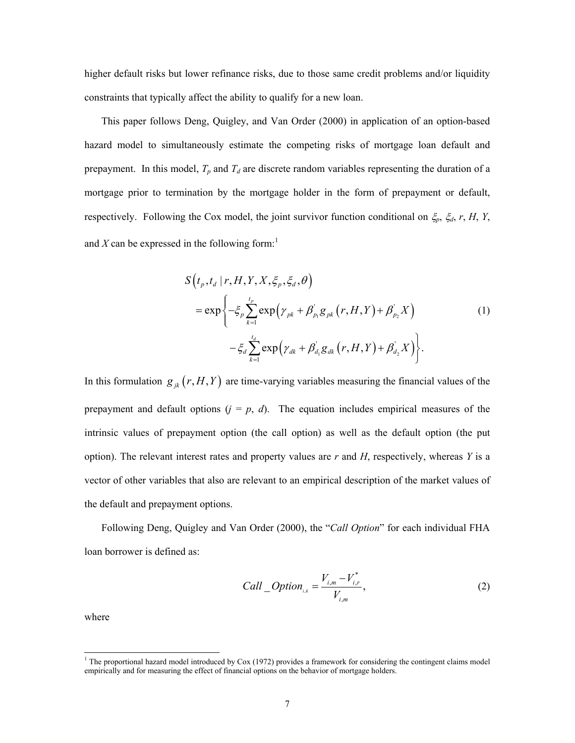higher default risks but lower refinance risks, due to those same credit problems and/or liquidity constraints that typically affect the ability to qualify for a new loan.

This paper follows Deng, Quigley, and Van Order (2000) in application of an option-based hazard model to simultaneously estimate the competing risks of mortgage loan default and prepayment. In this model,  $T_p$  and  $T_d$  are discrete random variables representing the duration of a mortgage prior to termination by the mortgage holder in the form of prepayment or default, respectively. Following the Cox model, the joint survivor function conditional on ξ*p*, ξ*d*, *r*, *H*, *Y*, and  $X$  can be expressed in the following form:<sup>1</sup>

$$
S(t_p, t_d | r, H, Y, X, \xi_p, \xi_d, \theta)
$$
  
= 
$$
\exp\left\{-\xi_p \sum_{k=1}^{t_p} \exp\left(\gamma_{pk} + \beta_{p_1}^{\dagger} g_{pk}(r, H, Y) + \beta_{p_2}^{\dagger} X\right)\right\}
$$
  

$$
-\xi_d \sum_{k=1}^{t_d} \exp\left(\gamma_{dk} + \beta_{d_1}^{\dagger} g_{dk}(r, H, Y) + \beta_{d_2}^{\dagger} X\right)\right\}.
$$
 (1)

In this formulation  $g_{jk} (r, H, Y)$  are time-varying variables measuring the financial values of the prepayment and default options  $(j = p, d)$ . The equation includes empirical measures of the intrinsic values of prepayment option (the call option) as well as the default option (the put option). The relevant interest rates and property values are *r* and *H*, respectively, whereas *Y* is a vector of other variables that also are relevant to an empirical description of the market values of the default and prepayment options.

Following Deng, Quigley and Van Order (2000), the "*Call Option*" for each individual FHA loan borrower is defined as:

Call *Option*<sub>*i,k*</sub> = 
$$
\frac{V_{i,m} - V_{i,r}^*}{V_{i,m}}
$$
, (2)

where

 1 The proportional hazard model introduced by Cox (1972) provides a framework for considering the contingent claims model empirically and for measuring the effect of financial options on the behavior of mortgage holders.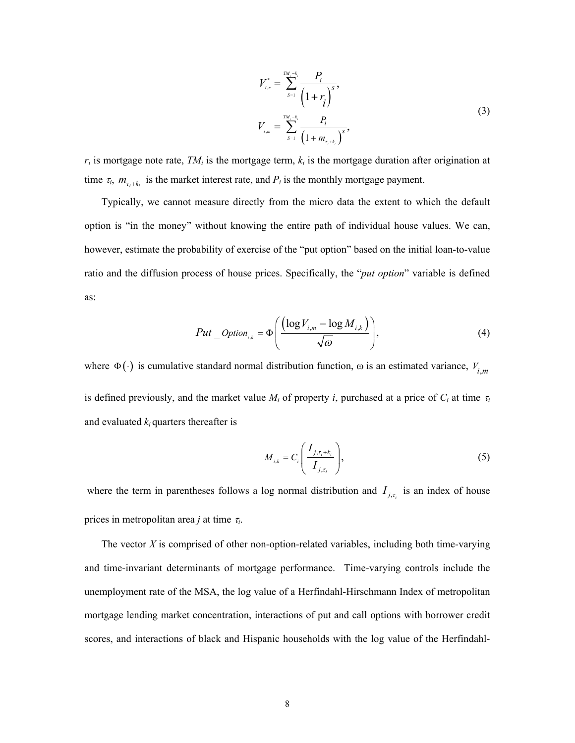$$
V_{i,r}^{*} = \sum_{s=1}^{TM_i-k_i} \frac{P_i}{\left(1+r_i\right)^s},
$$
  

$$
V_{i,m} = \sum_{s=1}^{TM_i-k_i} \frac{P_i}{\left(1+m_{\tau_i+k_i}\right)^s},
$$
 (3)

 $r_i$  is mortgage note rate,  $TM_i$  is the mortgage term,  $k_i$  is the mortgage duration after origination at time  $\tau_i$ ,  $m_{\tau_i+k_i}$  is the market interest rate, and  $P_i$  is the monthly mortgage payment.

Typically, we cannot measure directly from the micro data the extent to which the default option is "in the money" without knowing the entire path of individual house values. We can, however, estimate the probability of exercise of the "put option" based on the initial loan-to-value ratio and the diffusion process of house prices. Specifically, the "*put option*" variable is defined as:

$$
Put\_Option_{i,k} = \Phi\left(\frac{(\log V_{i,m} - \log M_{i,k})}{\sqrt{\omega}}\right),\tag{4}
$$

where  $\Phi(\cdot)$  is cumulative standard normal distribution function,  $\omega$  is an estimated variance,  $V_{i,m}$ is defined previously, and the market value  $M_i$  of property *i*, purchased at a price of  $C_i$  at time  $\tau_i$ and evaluated  $k_i$  quarters thereafter is

$$
M_{i,k} = C_i \left( \frac{I_{j,\tau_i + k_i}}{I_{j,\tau_i}} \right),\tag{5}
$$

where the term in parentheses follows a log normal distribution and  $I_{j,t_i}$  is an index of house prices in metropolitan area *j* at time <sup>τ</sup>*i*.

The vector *X* is comprised of other non-option-related variables, including both time-varying and time-invariant determinants of mortgage performance. Time-varying controls include the unemployment rate of the MSA, the log value of a Herfindahl-Hirschmann Index of metropolitan mortgage lending market concentration, interactions of put and call options with borrower credit scores, and interactions of black and Hispanic households with the log value of the Herfindahl-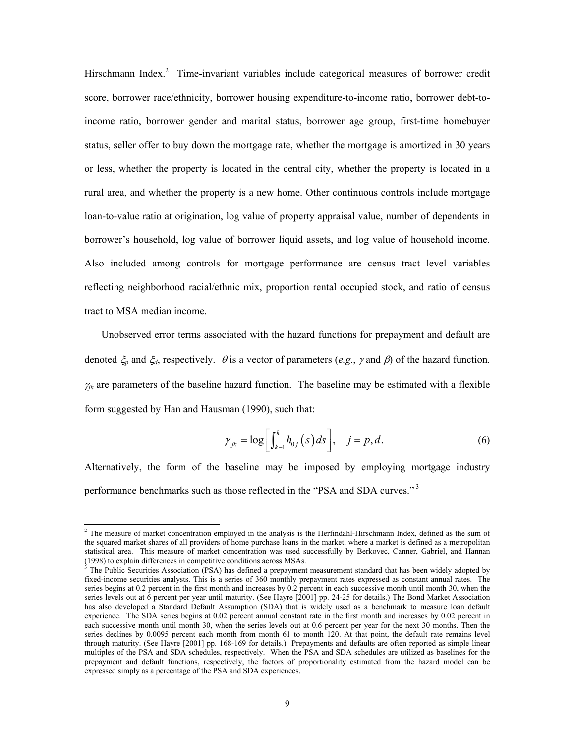Hirschmann Index.<sup>2</sup> Time-invariant variables include categorical measures of borrower credit score, borrower race/ethnicity, borrower housing expenditure-to-income ratio, borrower debt-toincome ratio, borrower gender and marital status, borrower age group, first-time homebuyer status, seller offer to buy down the mortgage rate, whether the mortgage is amortized in 30 years or less, whether the property is located in the central city, whether the property is located in a rural area, and whether the property is a new home. Other continuous controls include mortgage loan-to-value ratio at origination, log value of property appraisal value, number of dependents in borrower's household, log value of borrower liquid assets, and log value of household income. Also included among controls for mortgage performance are census tract level variables reflecting neighborhood racial/ethnic mix, proportion rental occupied stock, and ratio of census tract to MSA median income.

Unobserved error terms associated with the hazard functions for prepayment and default are denoted ξ*p* and ξ*d*, respectively. θ is a vector of parameters (*e.g.*, <sup>γ</sup> and β) of the hazard function.  $\gamma_k$  are parameters of the baseline hazard function. The baseline may be estimated with a flexible form suggested by Han and Hausman (1990), such that:

$$
\gamma_{jk} = \log \bigg[ \int_{k-1}^{k} h_{0j}(s) \, ds \bigg], \quad j = p, d. \tag{6}
$$

Alternatively, the form of the baseline may be imposed by employing mortgage industry performance benchmarks such as those reflected in the "PSA and SDA curves." 3

<sup>&</sup>lt;sup>2</sup> The measure of market concentration employed in the analysis is the Herfindahl-Hirschmann Index, defined as the sum of the squared market shares of all providers of home purchase loans in the market, where a market is defined as a metropolitan statistical area. This measure of market concentration was used successfully by Berkovec, Canner, Gabriel, and Hannan (1998) to explain differences in competitive conditions across MSAs.

The Public Securities Association (PSA) has defined a prepayment measurement standard that has been widely adopted by fixed-income securities analysts. This is a series of 360 monthly prepayment rates expressed as constant annual rates. The series begins at 0.2 percent in the first month and increases by 0.2 percent in each successive month until month 30, when the series levels out at  $6$  percent per year until maturity. (See Hayre [2001] pp. 24-25 for details.) The Bond Market Association has also developed a Standard Default Assumption (SDA) that is widely used as a benchmark to measure loan default experience. The SDA series begins at 0.02 percent annual constant rate in the first month and increases by 0.02 percent in each successive month until month 30, when the series levels out at 0.6 percent per year for the next 30 months. Then the series declines by 0.0095 percent each month from month 61 to month 120. At that point, the default rate remains level through maturity. (See Hayre [2001] pp. 168-169 for details.) Prepayments and defaults are often reported as simple linear multiples of the PSA and SDA schedules, respectively. When the PSA and SDA schedules are utilized as baselines for the prepayment and default functions, respectively, the factors of proportionality estimated from the hazard model can be expressed simply as a percentage of the PSA and SDA experiences.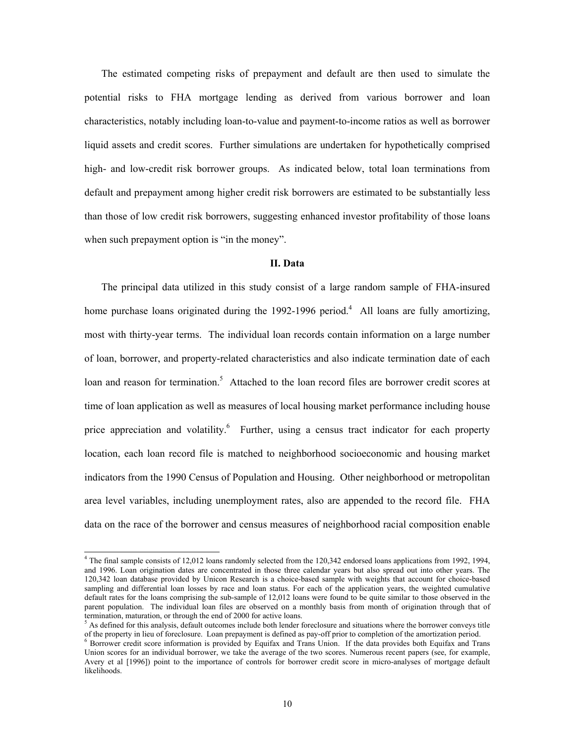The estimated competing risks of prepayment and default are then used to simulate the potential risks to FHA mortgage lending as derived from various borrower and loan characteristics, notably including loan-to-value and payment-to-income ratios as well as borrower liquid assets and credit scores. Further simulations are undertaken for hypothetically comprised high- and low-credit risk borrower groups. As indicated below, total loan terminations from default and prepayment among higher credit risk borrowers are estimated to be substantially less than those of low credit risk borrowers, suggesting enhanced investor profitability of those loans when such prepayment option is "in the money".

## **II. Data**

The principal data utilized in this study consist of a large random sample of FHA-insured home purchase loans originated during the  $1992-1996$  period.<sup>4</sup> All loans are fully amortizing, most with thirty-year terms.The individual loan records contain information on a large number of loan, borrower, and property-related characteristics and also indicate termination date of each loan and reason for termination.<sup>5</sup> Attached to the loan record files are borrower credit scores at time of loan application as well as measures of local housing market performance including house price appreciation and volatility.<sup>6</sup> Further, using a census tract indicator for each property location, each loan record file is matched to neighborhood socioeconomic and housing market indicators from the 1990 Census of Population and Housing. Other neighborhood or metropolitan area level variables, including unemployment rates, also are appended to the record file. FHA data on the race of the borrower and census measures of neighborhood racial composition enable

 4 The final sample consists of 12,012 loans randomly selected from the 120,342 endorsed loans applications from 1992, 1994, and 1996. Loan origination dates are concentrated in those three calendar years but also spread out into other years. The 120,342 loan database provided by Unicon Research is a choice-based sample with weights that account for choice-based sampling and differential loan losses by race and loan status. For each of the application years, the weighted cumulative default rates for the loans comprising the sub-sample of 12,012 loans were found to be quite similar to those observed in the parent population. The individual loan files are observed on a monthly basis from month of origination through that of termination, maturation, or through the end of 2000 for active loans.

 $<sup>5</sup>$  As defined for this analysis, default outcomes include both lender foreclosure and situations where the borrower conveys title</sup> of the property in lieu of foreclosure.Loan prepayment is defined as pay-off prior to completion of the amortization period. 6

 $6$  Borrower credit score information is provided by Equifax and Trans Union. If the data provides both Equifax and Trans Union scores for an individual borrower, we take the average of the two scores. Numerous recent papers (see, for example, Avery et al [1996]) point to the importance of controls for borrower credit score in micro-analyses of mortgage default likelihoods.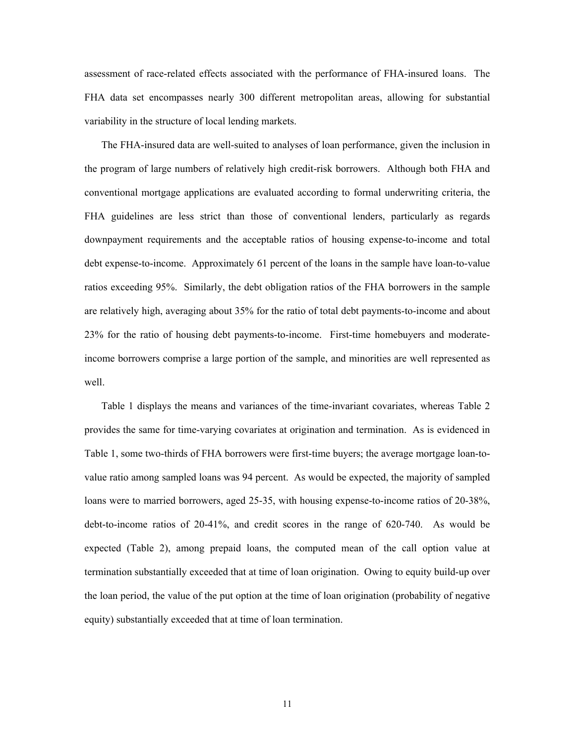assessment of race-related effects associated with the performance of FHA-insured loans. The FHA data set encompasses nearly 300 different metropolitan areas, allowing for substantial variability in the structure of local lending markets.

The FHA-insured data are well-suited to analyses of loan performance, given the inclusion in the program of large numbers of relatively high credit-risk borrowers. Although both FHA and conventional mortgage applications are evaluated according to formal underwriting criteria, the FHA guidelines are less strict than those of conventional lenders, particularly as regards downpayment requirements and the acceptable ratios of housing expense-to-income and total debt expense-to-income. Approximately 61 percent of the loans in the sample have loan-to-value ratios exceeding 95%. Similarly, the debt obligation ratios of the FHA borrowers in the sample are relatively high, averaging about 35% for the ratio of total debt payments-to-income and about 23% for the ratio of housing debt payments-to-income. First-time homebuyers and moderateincome borrowers comprise a large portion of the sample, and minorities are well represented as well.

Table 1 displays the means and variances of the time-invariant covariates, whereas Table 2 provides the same for time-varying covariates at origination and termination. As is evidenced in Table 1, some two-thirds of FHA borrowers were first-time buyers; the average mortgage loan-tovalue ratio among sampled loans was 94 percent. As would be expected, the majority of sampled loans were to married borrowers, aged 25-35, with housing expense-to-income ratios of 20-38%, debt-to-income ratios of 20-41%, and credit scores in the range of 620-740. As would be expected (Table 2), among prepaid loans, the computed mean of the call option value at termination substantially exceeded that at time of loan origination. Owing to equity build-up over the loan period, the value of the put option at the time of loan origination (probability of negative equity) substantially exceeded that at time of loan termination.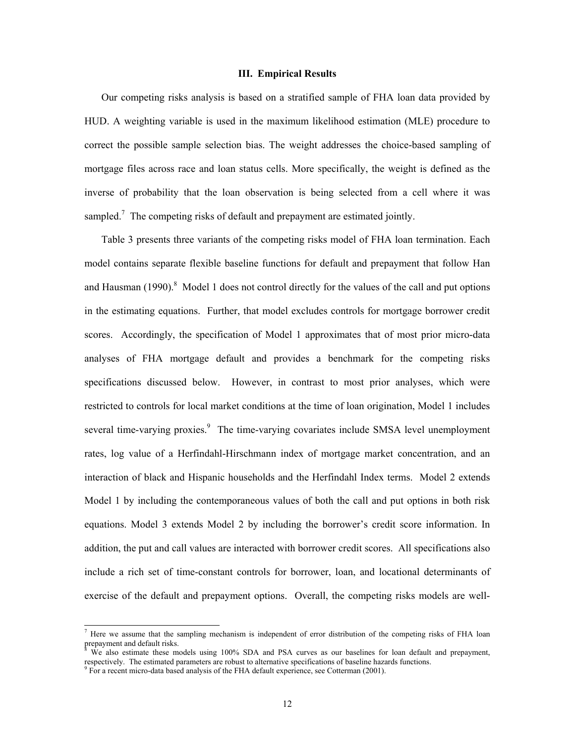### **III. Empirical Results**

Our competing risks analysis is based on a stratified sample of FHA loan data provided by HUD. A weighting variable is used in the maximum likelihood estimation (MLE) procedure to correct the possible sample selection bias. The weight addresses the choice-based sampling of mortgage files across race and loan status cells. More specifically, the weight is defined as the inverse of probability that the loan observation is being selected from a cell where it was sampled.<sup>7</sup> The competing risks of default and prepayment are estimated jointly.

Table 3 presents three variants of the competing risks model of FHA loan termination. Each model contains separate flexible baseline functions for default and prepayment that follow Han and Hausman (1990).<sup>8</sup> Model 1 does not control directly for the values of the call and put options in the estimating equations. Further, that model excludes controls for mortgage borrower credit scores. Accordingly, the specification of Model 1 approximates that of most prior micro-data analyses of FHA mortgage default and provides a benchmark for the competing risks specifications discussed below. However, in contrast to most prior analyses, which were restricted to controls for local market conditions at the time of loan origination, Model 1 includes several time-varying proxies.<sup>9</sup> The time-varying covariates include SMSA level unemployment rates, log value of a Herfindahl-Hirschmann index of mortgage market concentration, and an interaction of black and Hispanic households and the Herfindahl Index terms. Model 2 extends Model 1 by including the contemporaneous values of both the call and put options in both risk equations. Model 3 extends Model 2 by including the borrower's credit score information. In addition, the put and call values are interacted with borrower credit scores. All specifications also include a rich set of time-constant controls for borrower, loan, and locational determinants of exercise of the default and prepayment options. Overall, the competing risks models are well-

<sup>&</sup>lt;sup>7</sup> Here we assume that the sampling mechanism is independent of error distribution of the competing risks of FHA loan prepayment and default risks.

We also estimate these models using 100% SDA and PSA curves as our baselines for loan default and prepayment, respectively. The estimated parameters are robust to alternative specifications of baseline hazards functions. 9

<sup>&</sup>lt;sup>9</sup> For a recent micro-data based analysis of the FHA default experience, see Cotterman (2001).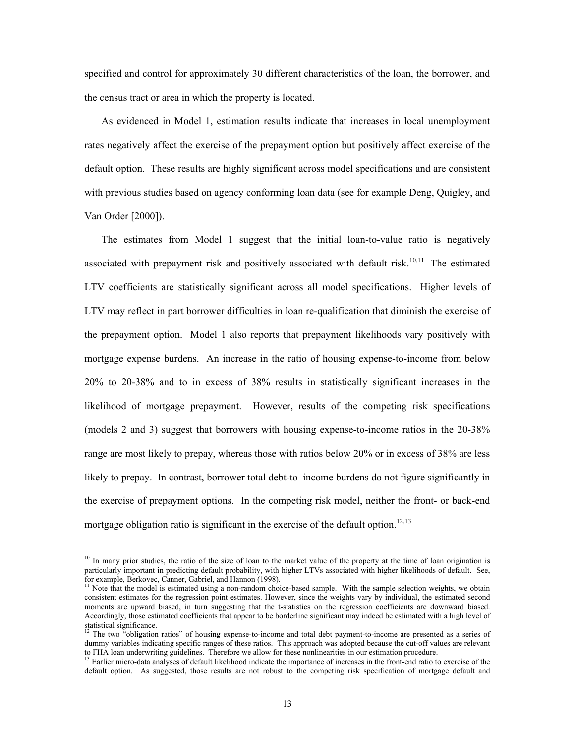specified and control for approximately 30 different characteristics of the loan, the borrower, and the census tract or area in which the property is located.

As evidenced in Model 1, estimation results indicate that increases in local unemployment rates negatively affect the exercise of the prepayment option but positively affect exercise of the default option. These results are highly significant across model specifications and are consistent with previous studies based on agency conforming loan data (see for example Deng, Quigley, and Van Order [2000]).

The estimates from Model 1 suggest that the initial loan-to-value ratio is negatively associated with prepayment risk and positively associated with default risk.<sup>10,11</sup> The estimated LTV coefficients are statistically significant across all model specifications. Higher levels of LTV may reflect in part borrower difficulties in loan re-qualification that diminish the exercise of the prepayment option. Model 1 also reports that prepayment likelihoods vary positively with mortgage expense burdens. An increase in the ratio of housing expense-to-income from below 20% to 20-38% and to in excess of 38% results in statistically significant increases in the likelihood of mortgage prepayment. However, results of the competing risk specifications (models 2 and 3) suggest that borrowers with housing expense-to-income ratios in the 20-38% range are most likely to prepay, whereas those with ratios below 20% or in excess of 38% are less likely to prepay. In contrast, borrower total debt-to–income burdens do not figure significantly in the exercise of prepayment options. In the competing risk model, neither the front- or back-end mortgage obligation ratio is significant in the exercise of the default option.<sup>12,13</sup>

 $10$  In many prior studies, the ratio of the size of loan to the market value of the property at the time of loan origination is particularly important in predicting default probability, with higher LTVs associated with higher likelihoods of default. See, for example, Berkovec, Canner, Gabriel, and Hannon (1998).

<sup>&</sup>lt;sup>11</sup> Note that the model is estimated using a non-random choice-based sample. With the sample selection weights, we obtain consistent estimates for the regression point estimates. However, since the weights vary by individual, the estimated second moments are upward biased, in turn suggesting that the t-statistics on the regression coefficients are downward biased. Accordingly, those estimated coefficients that appear to be borderline significant may indeed be estimated with a high level of statistical significance.

<sup>&</sup>lt;sup>12</sup> The two "obligation ratios" of housing expense-to-income and total debt payment-to-income are presented as a series of dummy variables indicating specific ranges of these ratios. This approach was adopted because the cut-off values are relevant to FHA loan underwriting guidelines. Therefore we allow for these nonlinearities in our estimati

<sup>&</sup>lt;sup>13</sup> Earlier micro-data analyses of default likelihood indicate the importance of increases in the front-end ratio to exercise of the default option. As suggested, those results are not robust to the competing risk specification of mortgage default and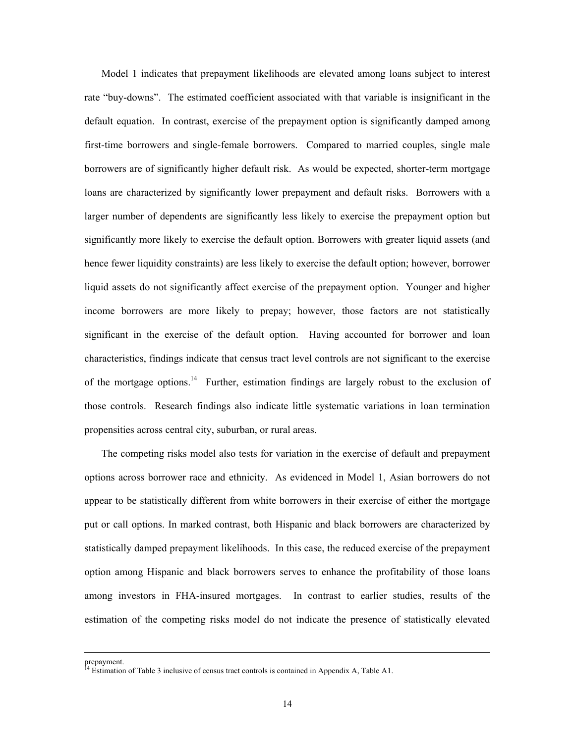Model 1 indicates that prepayment likelihoods are elevated among loans subject to interest rate "buy-downs". The estimated coefficient associated with that variable is insignificant in the default equation. In contrast, exercise of the prepayment option is significantly damped among first-time borrowers and single-female borrowers. Compared to married couples, single male borrowers are of significantly higher default risk. As would be expected, shorter-term mortgage loans are characterized by significantly lower prepayment and default risks. Borrowers with a larger number of dependents are significantly less likely to exercise the prepayment option but significantly more likely to exercise the default option. Borrowers with greater liquid assets (and hence fewer liquidity constraints) are less likely to exercise the default option; however, borrower liquid assets do not significantly affect exercise of the prepayment option. Younger and higher income borrowers are more likely to prepay; however, those factors are not statistically significant in the exercise of the default option. Having accounted for borrower and loan characteristics, findings indicate that census tract level controls are not significant to the exercise of the mortgage options.<sup>14</sup> Further, estimation findings are largely robust to the exclusion of those controls. Research findings also indicate little systematic variations in loan termination propensities across central city, suburban, or rural areas.

The competing risks model also tests for variation in the exercise of default and prepayment options across borrower race and ethnicity. As evidenced in Model 1, Asian borrowers do not appear to be statistically different from white borrowers in their exercise of either the mortgage put or call options. In marked contrast, both Hispanic and black borrowers are characterized by statistically damped prepayment likelihoods. In this case, the reduced exercise of the prepayment option among Hispanic and black borrowers serves to enhance the profitability of those loans among investors in FHA-insured mortgages. In contrast to earlier studies, results of the estimation of the competing risks model do not indicate the presence of statistically elevated

prepayment.

<sup>14</sup> Estimation of Table 3 inclusive of census tract controls is contained in Appendix A, Table A1.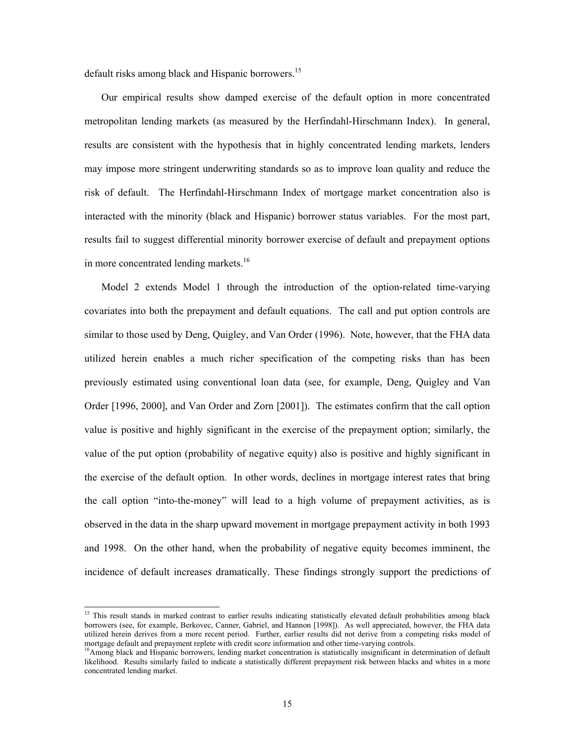default risks among black and Hispanic borrowers.<sup>15</sup>

Our empirical results show damped exercise of the default option in more concentrated metropolitan lending markets (as measured by the Herfindahl-Hirschmann Index). In general, results are consistent with the hypothesis that in highly concentrated lending markets, lenders may impose more stringent underwriting standards so as to improve loan quality and reduce the risk of default. The Herfindahl-Hirschmann Index of mortgage market concentration also is interacted with the minority (black and Hispanic) borrower status variables. For the most part, results fail to suggest differential minority borrower exercise of default and prepayment options in more concentrated lending markets.<sup>16</sup>

Model 2 extends Model 1 through the introduction of the option-related time-varying covariates into both the prepayment and default equations. The call and put option controls are similar to those used by Deng, Quigley, and Van Order (1996). Note, however, that the FHA data utilized herein enables a much richer specification of the competing risks than has been previously estimated using conventional loan data (see, for example, Deng, Quigley and Van Order [1996, 2000], and Van Order and Zorn [2001]). The estimates confirm that the call option value is positive and highly significant in the exercise of the prepayment option; similarly, the value of the put option (probability of negative equity) also is positive and highly significant in the exercise of the default option. In other words, declines in mortgage interest rates that bring the call option "into-the-money" will lead to a high volume of prepayment activities, as is observed in the data in the sharp upward movement in mortgage prepayment activity in both 1993 and 1998. On the other hand, when the probability of negative equity becomes imminent, the incidence of default increases dramatically. These findings strongly support the predictions of

<sup>&</sup>lt;sup>15</sup> This result stands in marked contrast to earlier results indicating statistically elevated default probabilities among black borrowers (see, for example, Berkovec, Canner, Gabriel, and Hannon [1998]). As well appreciated, however, the FHA data utilized herein derives from a more recent period. Further, earlier results did not derive from a competing risks model of mortgage default and prepayment replete with credit score information and other time-varying contro

<sup>&</sup>lt;sup>16</sup>Among black and Hispanic borrowers, lending market concentration is statistically insignificant in determination of default likelihood. Results similarly failed to indicate a statistically different prepayment risk between blacks and whites in a more concentrated lending market.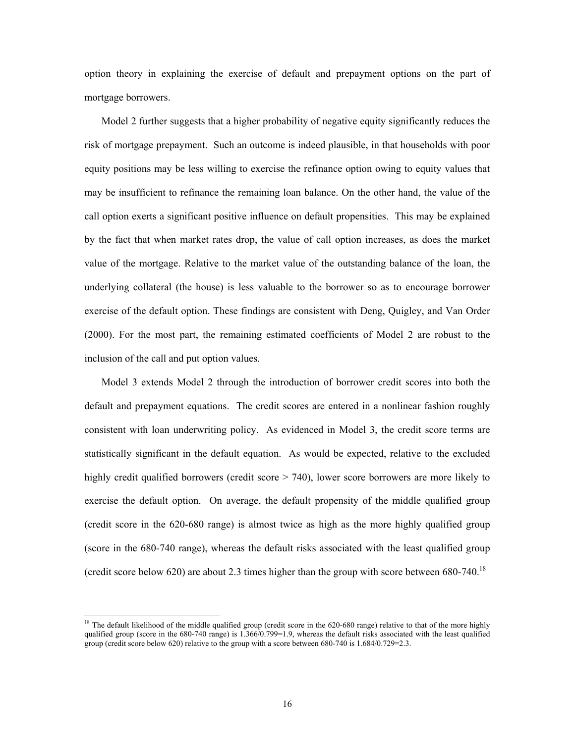option theory in explaining the exercise of default and prepayment options on the part of mortgage borrowers.

Model 2 further suggests that a higher probability of negative equity significantly reduces the risk of mortgage prepayment. Such an outcome is indeed plausible, in that households with poor equity positions may be less willing to exercise the refinance option owing to equity values that may be insufficient to refinance the remaining loan balance. On the other hand, the value of the call option exerts a significant positive influence on default propensities. This may be explained by the fact that when market rates drop, the value of call option increases, as does the market value of the mortgage. Relative to the market value of the outstanding balance of the loan, the underlying collateral (the house) is less valuable to the borrower so as to encourage borrower exercise of the default option. These findings are consistent with Deng, Quigley, and Van Order (2000). For the most part, the remaining estimated coefficients of Model 2 are robust to the inclusion of the call and put option values.

Model 3 extends Model 2 through the introduction of borrower credit scores into both the default and prepayment equations. The credit scores are entered in a nonlinear fashion roughly consistent with loan underwriting policy. As evidenced in Model 3, the credit score terms are statistically significant in the default equation. As would be expected, relative to the excluded highly credit qualified borrowers (credit score > 740), lower score borrowers are more likely to exercise the default option. On average, the default propensity of the middle qualified group (credit score in the 620-680 range) is almost twice as high as the more highly qualified group (score in the 680-740 range), whereas the default risks associated with the least qualified group (credit score below 620) are about 2.3 times higher than the group with score between  $680-740$ .<sup>18</sup>

<sup>&</sup>lt;sup>18</sup> The default likelihood of the middle qualified group (credit score in the 620-680 range) relative to that of the more highly qualified group (score in the 680-740 range) is  $1.366/0.799=1.9$ , whereas the default risks associated with the least qualified group (credit score below 620) relative to the group with a score between 680-740 is 1.684/0.729=2.3.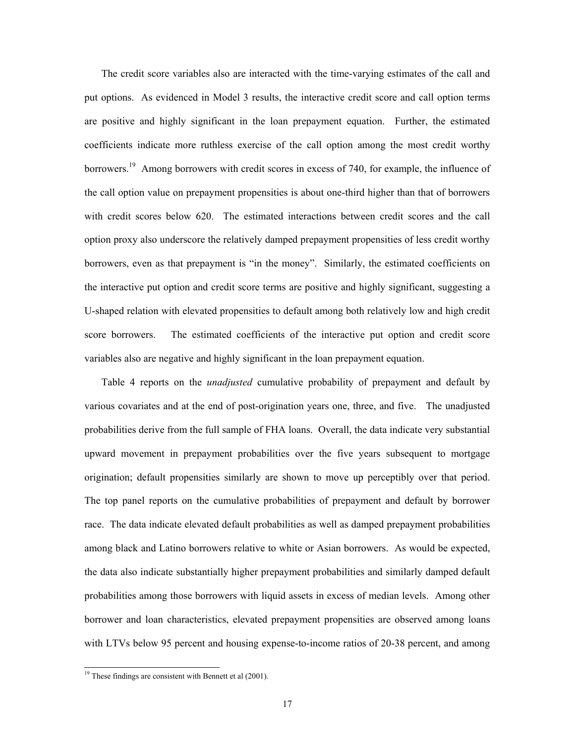The credit score variables also are interacted with the time-varying estimates of the call and put options. As evidenced in Model 3 results, the interactive credit score and call option terms are positive and highly significant in the loan prepayment equation. Further, the estimated coefficients indicate more ruthless exercise of the call option among the most credit worthy borrowers.<sup>19</sup> Among borrowers with credit scores in excess of 740, for example, the influence of the call option value on prepayment propensities is about one-third higher than that of borrowers with credit scores below 620. The estimated interactions between credit scores and the call option proxy also underscore the relatively damped prepayment propensities of less credit worthy borrowers, even as that prepayment is "in the money". Similarly, the estimated coefficients on the interactive put option and credit score terms are positive and highly significant, suggesting a U-shaped relation with elevated propensities to default among both relatively low and high credit score borrowers. The estimated coefficients of the interactive put option and credit score variables also are negative and highly significant in the loan prepayment equation.

Table 4 reports on the *unadjusted* cumulative probability of prepayment and default by various covariates and at the end of post-origination years one, three, and five. The unadjusted probabilities derive from the full sample of FHA loans. Overall, the data indicate very substantial upward movement in prepayment probabilities over the five years subsequent to mortgage origination; default propensities similarly are shown to move up perceptibly over that period. The top panel reports on the cumulative probabilities of prepayment and default by borrower race. The data indicate elevated default probabilities as well as damped prepayment probabilities among black and Latino borrowers relative to white or Asian borrowers. As would be expected, the data also indicate substantially higher prepayment probabilities and similarly damped default probabilities among those borrowers with liquid assets in excess of median levels. Among other borrower and loan characteristics, elevated prepayment propensities are observed among loans with LTVs below 95 percent and housing expense-to-income ratios of 20-38 percent, and among

 $19$ <sup>19</sup> These findings are consistent with Bennett et al (2001).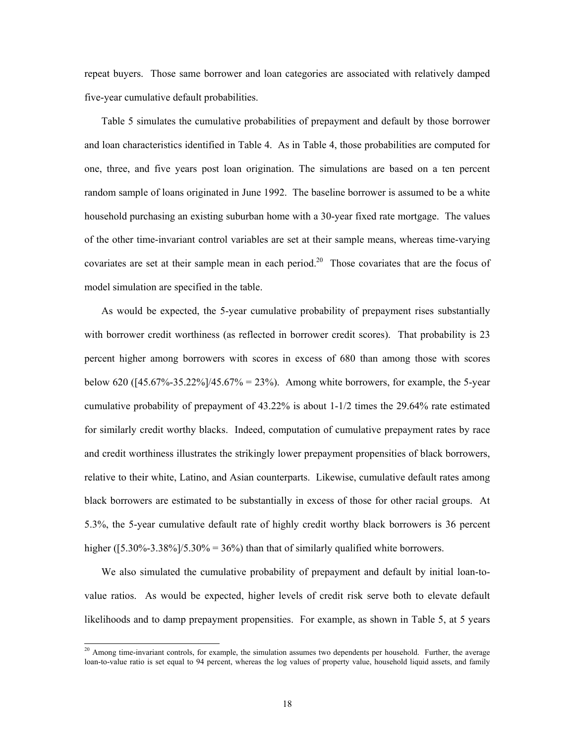repeat buyers. Those same borrower and loan categories are associated with relatively damped five-year cumulative default probabilities.

Table 5 simulates the cumulative probabilities of prepayment and default by those borrower and loan characteristics identified in Table 4. As in Table 4, those probabilities are computed for one, three, and five years post loan origination. The simulations are based on a ten percent random sample of loans originated in June 1992. The baseline borrower is assumed to be a white household purchasing an existing suburban home with a 30-year fixed rate mortgage. The values of the other time-invariant control variables are set at their sample means, whereas time-varying covariates are set at their sample mean in each period.<sup>20</sup> Those covariates that are the focus of model simulation are specified in the table.

As would be expected, the 5-year cumulative probability of prepayment rises substantially with borrower credit worthiness (as reflected in borrower credit scores). That probability is 23 percent higher among borrowers with scores in excess of 680 than among those with scores below 620 ( $[45.67\% - 35.22\%]/45.67\% = 23\%$ ). Among white borrowers, for example, the 5-year cumulative probability of prepayment of 43.22% is about 1-1/2 times the 29.64% rate estimated for similarly credit worthy blacks. Indeed, computation of cumulative prepayment rates by race and credit worthiness illustrates the strikingly lower prepayment propensities of black borrowers, relative to their white, Latino, and Asian counterparts. Likewise, cumulative default rates among black borrowers are estimated to be substantially in excess of those for other racial groups. At 5.3%, the 5-year cumulative default rate of highly credit worthy black borrowers is 36 percent higher ( $[5.30\% - 3.38\%]/5.30\% = 36\%$ ) than that of similarly qualified white borrowers.

We also simulated the cumulative probability of prepayment and default by initial loan-tovalue ratios. As would be expected, higher levels of credit risk serve both to elevate default likelihoods and to damp prepayment propensities. For example, as shown in Table 5, at 5 years

 $2<sup>0</sup>$  Among time-invariant controls, for example, the simulation assumes two dependents per household. Further, the average loan-to-value ratio is set equal to 94 percent, whereas the log values of property value, household liquid assets, and family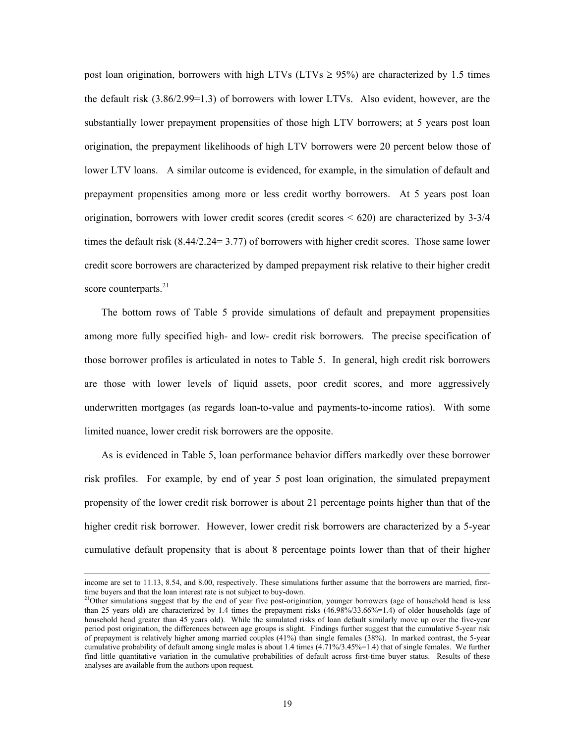post loan origination, borrowers with high LTVs (LTVs  $\geq$  95%) are characterized by 1.5 times the default risk (3.86/2.99=1.3) of borrowers with lower LTVs. Also evident, however, are the substantially lower prepayment propensities of those high LTV borrowers; at 5 years post loan origination, the prepayment likelihoods of high LTV borrowers were 20 percent below those of lower LTV loans. A similar outcome is evidenced, for example, in the simulation of default and prepayment propensities among more or less credit worthy borrowers. At 5 years post loan origination, borrowers with lower credit scores (credit scores  $< 620$ ) are characterized by 3-3/4 times the default risk (8.44/2.24= 3.77) of borrowers with higher credit scores. Those same lower credit score borrowers are characterized by damped prepayment risk relative to their higher credit score counterparts. $^{21}$ 

The bottom rows of Table 5 provide simulations of default and prepayment propensities among more fully specified high- and low- credit risk borrowers. The precise specification of those borrower profiles is articulated in notes to Table 5. In general, high credit risk borrowers are those with lower levels of liquid assets, poor credit scores, and more aggressively underwritten mortgages (as regards loan-to-value and payments-to-income ratios). With some limited nuance, lower credit risk borrowers are the opposite.

As is evidenced in Table 5, loan performance behavior differs markedly over these borrower risk profiles. For example, by end of year 5 post loan origination, the simulated prepayment propensity of the lower credit risk borrower is about 21 percentage points higher than that of the higher credit risk borrower. However, lower credit risk borrowers are characterized by a 5-year cumulative default propensity that is about 8 percentage points lower than that of their higher

income are set to 11.13, 8.54, and 8.00, respectively. These simulations further assume that the borrowers are married, firsttime buyers and that the loan interest rate is not subject to buy-down.

 $21$ Other simulations suggest that by the end of year five post-origination, younger borrowers (age of household head is less than 25 years old) are characterized by 1.4 times the prepayment risks (46.98%/33.66%=1.4) of older households (age of household head greater than 45 years old). While the simulated risks of loan default similarly move up over the five-year period post origination, the differences between age groups is slight. Findings further suggest that the cumulative 5-year risk of prepayment is relatively higher among married couples (41%) than single females (38%). In marked contrast, the 5-year cumulative probability of default among single males is about 1.4 times (4.71%/3.45%=1.4) that of single females. We further find little quantitative variation in the cumulative probabilities of default across first-time buyer status. Results of these analyses are available from the authors upon request.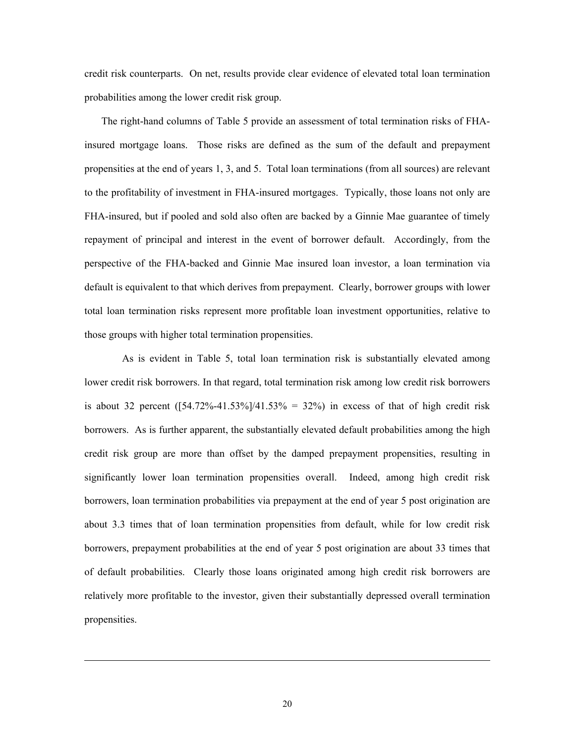credit risk counterparts. On net, results provide clear evidence of elevated total loan termination probabilities among the lower credit risk group.

The right-hand columns of Table 5 provide an assessment of total termination risks of FHAinsured mortgage loans. Those risks are defined as the sum of the default and prepayment propensities at the end of years 1, 3, and 5. Total loan terminations (from all sources) are relevant to the profitability of investment in FHA-insured mortgages. Typically, those loans not only are FHA-insured, but if pooled and sold also often are backed by a Ginnie Mae guarantee of timely repayment of principal and interest in the event of borrower default. Accordingly, from the perspective of the FHA-backed and Ginnie Mae insured loan investor, a loan termination via default is equivalent to that which derives from prepayment. Clearly, borrower groups with lower total loan termination risks represent more profitable loan investment opportunities, relative to those groups with higher total termination propensities.

 As is evident in Table 5, total loan termination risk is substantially elevated among lower credit risk borrowers. In that regard, total termination risk among low credit risk borrowers is about 32 percent  $(54.72\% - 41.53\%)/41.53\% = 32\%)$  in excess of that of high credit risk borrowers. As is further apparent, the substantially elevated default probabilities among the high credit risk group are more than offset by the damped prepayment propensities, resulting in significantly lower loan termination propensities overall. Indeed, among high credit risk borrowers, loan termination probabilities via prepayment at the end of year 5 post origination are about 3.3 times that of loan termination propensities from default, while for low credit risk borrowers, prepayment probabilities at the end of year 5 post origination are about 33 times that of default probabilities. Clearly those loans originated among high credit risk borrowers are relatively more profitable to the investor, given their substantially depressed overall termination propensities.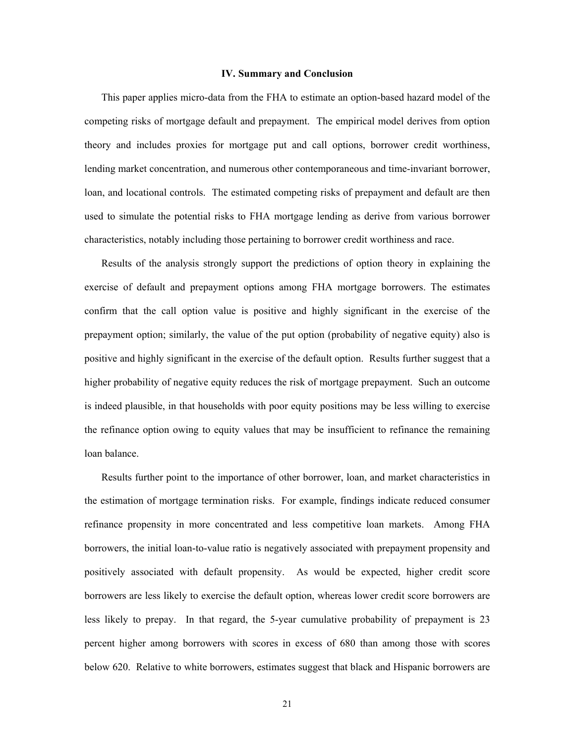### **IV. Summary and Conclusion**

This paper applies micro-data from the FHA to estimate an option-based hazard model of the competing risks of mortgage default and prepayment. The empirical model derives from option theory and includes proxies for mortgage put and call options, borrower credit worthiness, lending market concentration, and numerous other contemporaneous and time-invariant borrower, loan, and locational controls. The estimated competing risks of prepayment and default are then used to simulate the potential risks to FHA mortgage lending as derive from various borrower characteristics, notably including those pertaining to borrower credit worthiness and race.

Results of the analysis strongly support the predictions of option theory in explaining the exercise of default and prepayment options among FHA mortgage borrowers. The estimates confirm that the call option value is positive and highly significant in the exercise of the prepayment option; similarly, the value of the put option (probability of negative equity) also is positive and highly significant in the exercise of the default option. Results further suggest that a higher probability of negative equity reduces the risk of mortgage prepayment. Such an outcome is indeed plausible, in that households with poor equity positions may be less willing to exercise the refinance option owing to equity values that may be insufficient to refinance the remaining loan balance.

Results further point to the importance of other borrower, loan, and market characteristics in the estimation of mortgage termination risks. For example, findings indicate reduced consumer refinance propensity in more concentrated and less competitive loan markets. Among FHA borrowers, the initial loan-to-value ratio is negatively associated with prepayment propensity and positively associated with default propensity. As would be expected, higher credit score borrowers are less likely to exercise the default option, whereas lower credit score borrowers are less likely to prepay. In that regard, the 5-year cumulative probability of prepayment is 23 percent higher among borrowers with scores in excess of 680 than among those with scores below 620. Relative to white borrowers, estimates suggest that black and Hispanic borrowers are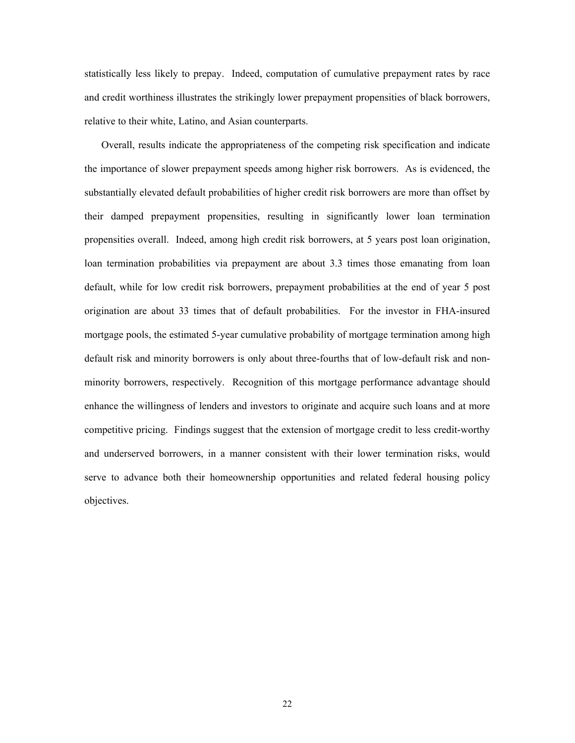statistically less likely to prepay. Indeed, computation of cumulative prepayment rates by race and credit worthiness illustrates the strikingly lower prepayment propensities of black borrowers, relative to their white, Latino, and Asian counterparts.

Overall, results indicate the appropriateness of the competing risk specification and indicate the importance of slower prepayment speeds among higher risk borrowers. As is evidenced, the substantially elevated default probabilities of higher credit risk borrowers are more than offset by their damped prepayment propensities, resulting in significantly lower loan termination propensities overall. Indeed, among high credit risk borrowers, at 5 years post loan origination, loan termination probabilities via prepayment are about 3.3 times those emanating from loan default, while for low credit risk borrowers, prepayment probabilities at the end of year 5 post origination are about 33 times that of default probabilities. For the investor in FHA-insured mortgage pools, the estimated 5-year cumulative probability of mortgage termination among high default risk and minority borrowers is only about three-fourths that of low-default risk and nonminority borrowers, respectively. Recognition of this mortgage performance advantage should enhance the willingness of lenders and investors to originate and acquire such loans and at more competitive pricing. Findings suggest that the extension of mortgage credit to less credit-worthy and underserved borrowers, in a manner consistent with their lower termination risks, would serve to advance both their homeownership opportunities and related federal housing policy objectives.

22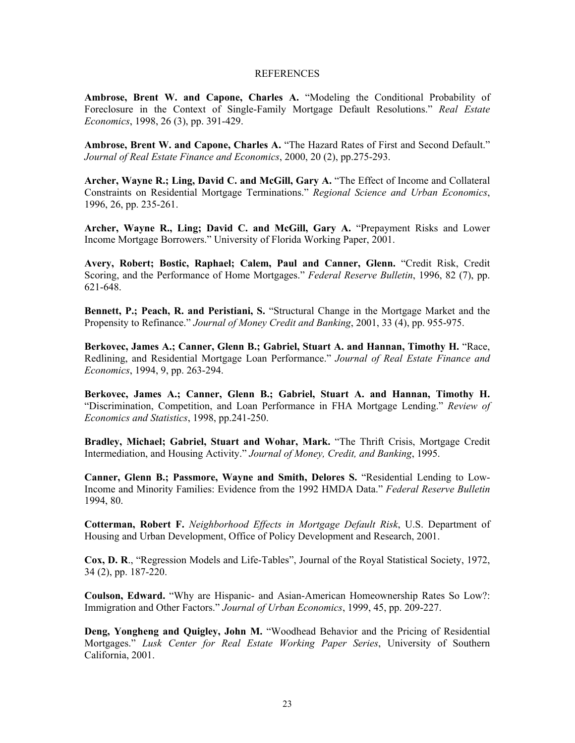### **REFERENCES**

**Ambrose, Brent W. and Capone, Charles A.** "Modeling the Conditional Probability of Foreclosure in the Context of Single-Family Mortgage Default Resolutions." *Real Estate Economics*, 1998, 26 (3), pp. 391-429.

**Ambrose, Brent W. and Capone, Charles A.** "The Hazard Rates of First and Second Default." *Journal of Real Estate Finance and Economics*, 2000, 20 (2), pp.275-293.

**Archer, Wayne R.; Ling, David C. and McGill, Gary A.** "The Effect of Income and Collateral Constraints on Residential Mortgage Terminations." *Regional Science and Urban Economics*, 1996, 26, pp. 235-261.

Archer, Wayne R., Ling; David C. and McGill, Gary A. "Prepayment Risks and Lower Income Mortgage Borrowers." University of Florida Working Paper, 2001.

**Avery, Robert; Bostic, Raphael; Calem, Paul and Canner, Glenn.** "Credit Risk, Credit Scoring, and the Performance of Home Mortgages." *Federal Reserve Bulletin*, 1996, 82 (7), pp. 621-648.

**Bennett, P.; Peach, R. and Peristiani, S.** "Structural Change in the Mortgage Market and the Propensity to Refinance." *Journal of Money Credit and Banking*, 2001, 33 (4), pp. 955-975.

**Berkovec, James A.; Canner, Glenn B.; Gabriel, Stuart A. and Hannan, Timothy H.** "Race, Redlining, and Residential Mortgage Loan Performance." *Journal of Real Estate Finance and Economics*, 1994, 9, pp. 263-294.

**Berkovec, James A.; Canner, Glenn B.; Gabriel, Stuart A. and Hannan, Timothy H.** "Discrimination, Competition, and Loan Performance in FHA Mortgage Lending." *Review of Economics and Statistics*, 1998, pp.241-250.

**Bradley, Michael; Gabriel, Stuart and Wohar, Mark.** "The Thrift Crisis, Mortgage Credit Intermediation, and Housing Activity." *Journal of Money, Credit, and Banking*, 1995.

**Canner, Glenn B.; Passmore, Wayne and Smith, Delores S.** "Residential Lending to Low-Income and Minority Families: Evidence from the 1992 HMDA Data." *Federal Reserve Bulletin* 1994, 80.

**Cotterman, Robert F.** *Neighborhood Effects in Mortgage Default Risk*, U.S. Department of Housing and Urban Development, Office of Policy Development and Research, 2001.

**Cox, D. R**., "Regression Models and Life-Tables", Journal of the Royal Statistical Society, 1972, 34 (2), pp. 187-220.

**Coulson, Edward.** "Why are Hispanic- and Asian-American Homeownership Rates So Low?: Immigration and Other Factors." *Journal of Urban Economics*, 1999, 45, pp. 209-227.

**Deng, Yongheng and Quigley, John M.** "Woodhead Behavior and the Pricing of Residential Mortgages." *Lusk Center for Real Estate Working Paper Series*, University of Southern California, 2001.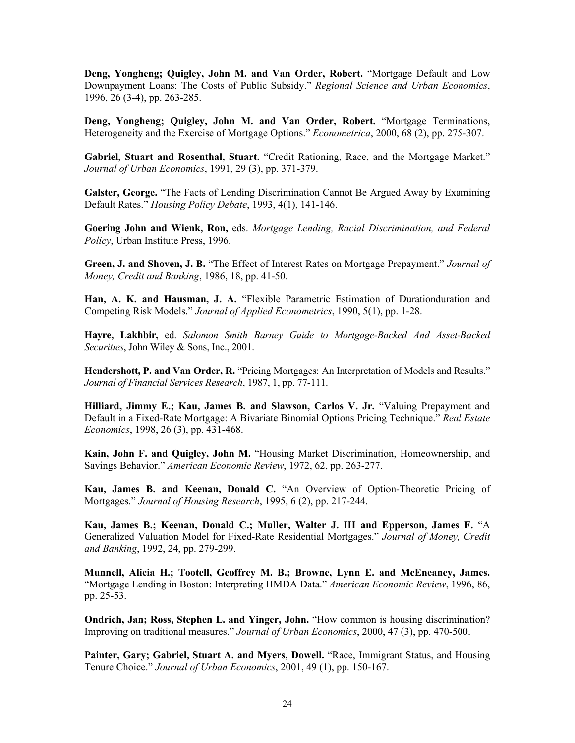**Deng, Yongheng; Quigley, John M. and Van Order, Robert.** "Mortgage Default and Low Downpayment Loans: The Costs of Public Subsidy." *Regional Science and Urban Economics*, 1996, 26 (3-4), pp. 263-285.

**Deng, Yongheng; Quigley, John M. and Van Order, Robert.** "Mortgage Terminations, Heterogeneity and the Exercise of Mortgage Options." *Econometrica*, 2000, 68 (2), pp. 275-307.

**Gabriel, Stuart and Rosenthal, Stuart.** "Credit Rationing, Race, and the Mortgage Market." *Journal of Urban Economics*, 1991, 29 (3), pp. 371-379.

**Galster, George.** "The Facts of Lending Discrimination Cannot Be Argued Away by Examining Default Rates." *Housing Policy Debate*, 1993, 4(1), 141-146.

**Goering John and Wienk, Ron,** eds. *Mortgage Lending, Racial Discrimination, and Federal Policy*, Urban Institute Press, 1996.

**Green, J. and Shoven, J. B.** "The Effect of Interest Rates on Mortgage Prepayment." *Journal of Money, Credit and Banking*, 1986, 18, pp. 41-50.

**Han, A. K. and Hausman, J. A.** "Flexible Parametric Estimation of Durationduration and Competing Risk Models." *Journal of Applied Econometrics*, 1990, 5(1), pp. 1-28.

**Hayre, Lakhbir,** ed. *Salomon Smith Barney Guide to Mortgage-Backed And Asset-Backed Securities*, John Wiley & Sons, Inc., 2001.

**Hendershott, P. and Van Order, R.** "Pricing Mortgages: An Interpretation of Models and Results." *Journal of Financial Services Research*, 1987, 1, pp. 77-111.

**Hilliard, Jimmy E.; Kau, James B. and Slawson, Carlos V. Jr.** "Valuing Prepayment and Default in a Fixed-Rate Mortgage: A Bivariate Binomial Options Pricing Technique." *Real Estate Economics*, 1998, 26 (3), pp. 431-468.

**Kain, John F. and Quigley, John M.** "Housing Market Discrimination, Homeownership, and Savings Behavior." *American Economic Review*, 1972, 62, pp. 263-277.

**Kau, James B. and Keenan, Donald C.** "An Overview of Option-Theoretic Pricing of Mortgages." *Journal of Housing Research*, 1995, 6 (2), pp. 217-244.

**Kau, James B.; Keenan, Donald C.; Muller, Walter J. III and Epperson, James F.** "A Generalized Valuation Model for Fixed-Rate Residential Mortgages." *Journal of Money, Credit and Banking*, 1992, 24, pp. 279-299.

**Munnell, Alicia H.; Tootell, Geoffrey M. B.; Browne, Lynn E. and McEneaney, James.**  "Mortgage Lending in Boston: Interpreting HMDA Data." *American Economic Review*, 1996, 86, pp. 25-53.

**Ondrich, Jan; Ross, Stephen L. and Yinger, John.** "How common is housing discrimination? Improving on traditional measures." *Journal of Urban Economics*, 2000, 47 (3), pp. 470-500.

**Painter, Gary; Gabriel, Stuart A. and Myers, Dowell.** "Race, Immigrant Status, and Housing Tenure Choice." *Journal of Urban Economics*, 2001, 49 (1), pp. 150-167.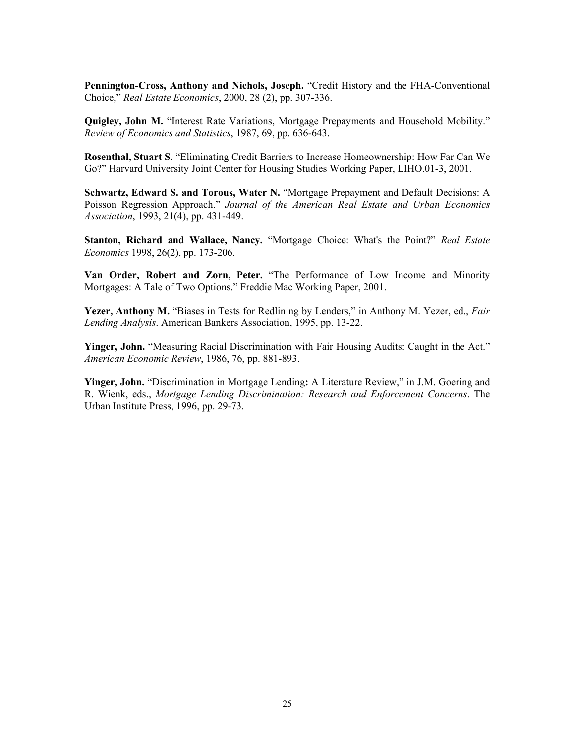**Pennington-Cross, Anthony and Nichols, Joseph.** "Credit History and the FHA-Conventional Choice," *Real Estate Economics*, 2000, 28 (2), pp. 307-336.

**Quigley, John M.** "Interest Rate Variations, Mortgage Prepayments and Household Mobility." *Review of Economics and Statistics*, 1987, 69, pp. 636-643.

**Rosenthal, Stuart S.** "Eliminating Credit Barriers to Increase Homeownership: How Far Can We Go?" Harvard University Joint Center for Housing Studies Working Paper, LIHO.01-3, 2001.

**Schwartz, Edward S. and Torous, Water N.** "Mortgage Prepayment and Default Decisions: A Poisson Regression Approach." *Journal of the American Real Estate and Urban Economics Association*, 1993, 21(4), pp. 431-449.

**Stanton, Richard and Wallace, Nancy.** "Mortgage Choice: What's the Point?" *Real Estate Economics* 1998, 26(2), pp. 173-206.

**Van Order, Robert and Zorn, Peter.** "The Performance of Low Income and Minority Mortgages: A Tale of Two Options." Freddie Mac Working Paper, 2001.

**Yezer, Anthony M.** "Biases in Tests for Redlining by Lenders," in Anthony M. Yezer, ed., *Fair Lending Analysis*. American Bankers Association, 1995, pp. 13-22.

**Yinger, John.** "Measuring Racial Discrimination with Fair Housing Audits: Caught in the Act." *American Economic Review*, 1986, 76, pp. 881-893.

**Yinger, John.** "Discrimination in Mortgage Lending**:** A Literature Review," in J.M. Goering and R. Wienk, eds., *Mortgage Lending Discrimination: Research and Enforcement Concerns*. The Urban Institute Press, 1996, pp. 29-73.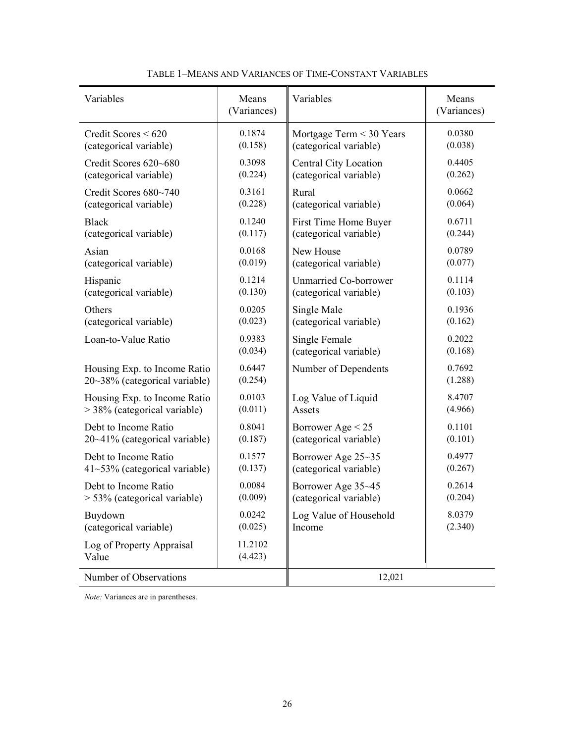| Variables                          | Means<br>(Variances) | Variables                    | Means<br>(Variances) |
|------------------------------------|----------------------|------------------------------|----------------------|
| Credit Scores < 620                | 0.1874               | Mortgage Term < 30 Years     | 0.0380               |
| (categorical variable)             | (0.158)              | (categorical variable)       | (0.038)              |
| Credit Scores 620~680              | 0.3098               | Central City Location        | 0.4405               |
| (categorical variable)             | (0.224)              | (categorical variable)       | (0.262)              |
| Credit Scores 680~740              | 0.3161               | Rural                        | 0.0662               |
| (categorical variable)             | (0.228)              | (categorical variable)       | (0.064)              |
| <b>Black</b>                       | 0.1240               | First Time Home Buyer        | 0.6711               |
| (categorical variable)             | (0.117)              | (categorical variable)       | (0.244)              |
| Asian                              | 0.0168               | New House                    | 0.0789               |
| (categorical variable)             | (0.019)              | (categorical variable)       | (0.077)              |
| Hispanic                           | 0.1214               | <b>Unmarried Co-borrower</b> | 0.1114               |
| (categorical variable)             | (0.130)              | (categorical variable)       | (0.103)              |
| Others                             | 0.0205               | Single Male                  | 0.1936               |
| (categorical variable)             | (0.023)              | (categorical variable)       | (0.162)              |
| Loan-to-Value Ratio                | 0.9383               | Single Female                | 0.2022               |
|                                    | (0.034)              | (categorical variable)       | (0.168)              |
| Housing Exp. to Income Ratio       | 0.6447               | Number of Dependents         | 0.7692               |
| $20~38\%$ (categorical variable)   | (0.254)              |                              | (1.288)              |
| Housing Exp. to Income Ratio       | 0.0103               | Log Value of Liquid          | 8.4707               |
| > 38% (categorical variable)       | (0.011)              | Assets                       | (4.966)              |
| Debt to Income Ratio               | 0.8041               | Borrower Age $< 25$          | 0.1101               |
| $20~41\%$ (categorical variable)   | (0.187)              | (categorical variable)       | (0.101)              |
| Debt to Income Ratio               | 0.1577               | Borrower Age 25~35           | 0.4977               |
| 41~53% (categorical variable)      | (0.137)              | (categorical variable)       | (0.267)              |
| Debt to Income Ratio               | 0.0084               | Borrower Age 35~45           | 0.2614               |
| > 53% (categorical variable)       | (0.009)              | (categorical variable)       | (0.204)              |
| Buydown                            | 0.0242               | Log Value of Household       | 8.0379               |
| (categorical variable)             | (0.025)              | Income                       | (2.340)              |
| Log of Property Appraisal<br>Value | 11.2102<br>(4.423)   |                              |                      |
| Number of Observations             |                      | 12,021                       |                      |

# TABLE 1–MEANS AND VARIANCES OF TIME-CONSTANT VARIABLES

*Note:* Variances are in parentheses.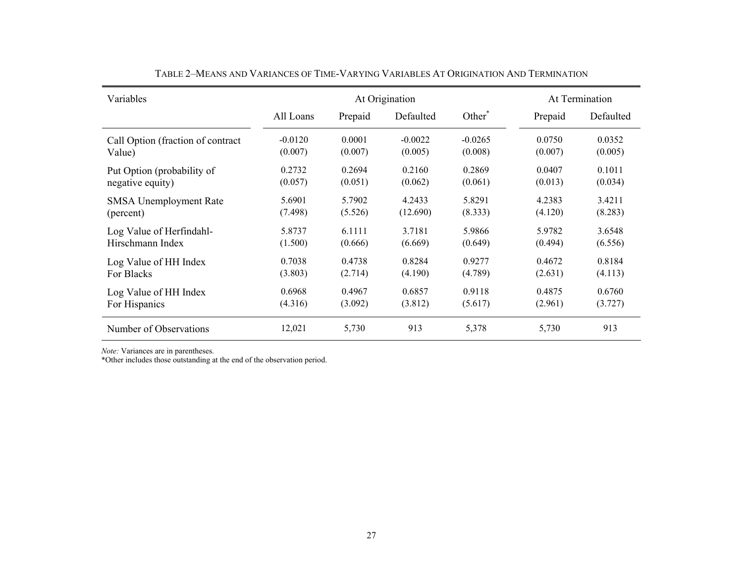| Variables                         |           | At Origination |           | At Termination     |         |           |
|-----------------------------------|-----------|----------------|-----------|--------------------|---------|-----------|
|                                   | All Loans | Prepaid        | Defaulted | Other <sup>*</sup> | Prepaid | Defaulted |
| Call Option (fraction of contract | $-0.0120$ | 0.0001         | $-0.0022$ | $-0.0265$          | 0.0750  | 0.0352    |
| Value)                            | (0.007)   | (0.007)        | (0.005)   | (0.008)            | (0.007) | (0.005)   |
| Put Option (probability of        | 0.2732    | 0.2694         | 0.2160    | 0.2869             | 0.0407  | 0.1011    |
| negative equity)                  | (0.057)   | (0.051)        | (0.062)   | (0.061)            | (0.013) | (0.034)   |
| <b>SMSA</b> Unemployment Rate     | 5.6901    | 5.7902         | 4.2433    | 5.8291             | 4.2383  | 3.4211    |
| (percent)                         | (7.498)   | (5.526)        | (12.690)  | (8.333)            | (4.120) | (8.283)   |
| Log Value of Herfindahl-          | 5.8737    | 6.1111         | 3.7181    | 5.9866             | 5.9782  | 3.6548    |
| Hirschmann Index                  | (1.500)   | (0.666)        | (6.669)   | (0.649)            | (0.494) | (6.556)   |
| Log Value of HH Index             | 0.7038    | 0.4738         | 0.8284    | 0.9277             | 0.4672  | 0.8184    |
| For Blacks                        | (3.803)   | (2.714)        | (4.190)   | (4.789)            | (2.631) | (4.113)   |
| Log Value of HH Index             | 0.6968    | 0.4967         | 0.6857    | 0.9118             | 0.4875  | 0.6760    |
| For Hispanics                     | (4.316)   | (3.092)        | (3.812)   | (5.617)            | (2.961) | (3.727)   |
| Number of Observations            | 12,021    | 5,730          | 913       | 5,378              | 5,730   | 913       |

TABLE 2–MEANS AND VARIANCES OF TIME-VARYING VARIABLES AT ORIGINATION AND TERMINATION

*Note:* Variances are in parentheses.

\*Other includes those outstanding at the end of the observation period.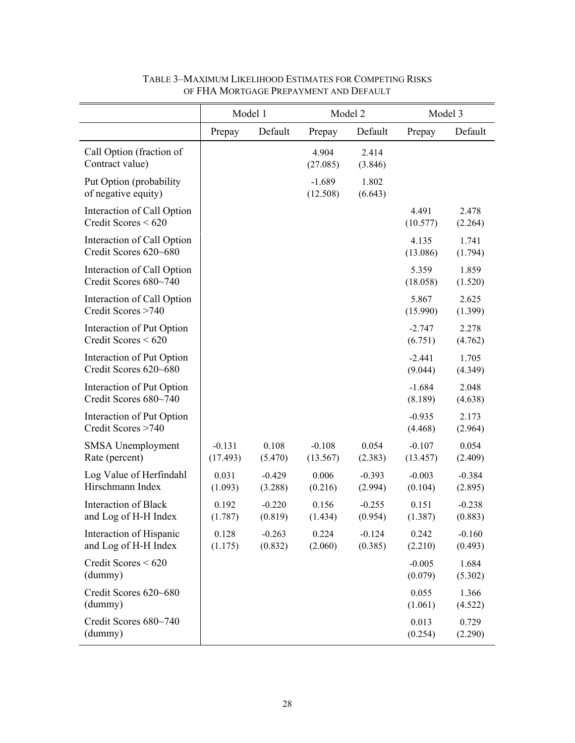|                                                     | Model 1              |                     | Model 2              |                     | Model 3              |                     |
|-----------------------------------------------------|----------------------|---------------------|----------------------|---------------------|----------------------|---------------------|
|                                                     | Prepay               | Default             | Prepay               | Default             | Prepay               | Default             |
| Call Option (fraction of<br>Contract value)         |                      |                     | 4.904<br>(27.085)    | 2.414<br>(3.846)    |                      |                     |
| Put Option (probability)<br>of negative equity)     |                      |                     | $-1.689$<br>(12.508) | 1.802<br>(6.643)    |                      |                     |
| Interaction of Call Option<br>Credit Scores < 620   |                      |                     |                      |                     | 4.491<br>(10.577)    | 2.478<br>(2.264)    |
| Interaction of Call Option<br>Credit Scores 620~680 |                      |                     |                      |                     | 4.135<br>(13.086)    | 1.741<br>(1.794)    |
| Interaction of Call Option<br>Credit Scores 680~740 |                      |                     |                      |                     | 5.359<br>(18.058)    | 1.859<br>(1.520)    |
| Interaction of Call Option<br>Credit Scores >740    |                      |                     |                      |                     | 5.867<br>(15.990)    | 2.625<br>(1.399)    |
| Interaction of Put Option<br>Credit Scores $< 620$  |                      |                     |                      |                     | $-2.747$<br>(6.751)  | 2.278<br>(4.762)    |
| Interaction of Put Option<br>Credit Scores 620~680  |                      |                     |                      |                     | $-2.441$<br>(9.044)  | 1.705<br>(4.349)    |
| Interaction of Put Option<br>Credit Scores 680~740  |                      |                     |                      |                     | $-1.684$<br>(8.189)  | 2.048<br>(4.638)    |
| Interaction of Put Option<br>Credit Scores >740     |                      |                     |                      |                     | $-0.935$<br>(4.468)  | 2.173<br>(2.964)    |
| <b>SMSA</b> Unemployment<br>Rate (percent)          | $-0.131$<br>(17.493) | 0.108<br>(5.470)    | $-0.108$<br>(13.567) | 0.054<br>(2.383)    | $-0.107$<br>(13.457) | 0.054<br>(2.409)    |
| Log Value of Herfindahl<br>Hirschmann Index         | 0.031<br>(1.093)     | $-0.429$<br>(3.288) | 0.006<br>(0.216)     | $-0.393$<br>(2.994) | $-0.003$<br>(0.104)  | $-0.384$<br>(2.895) |
| Interaction of Black<br>and Log of H-H Index        | 0.192<br>(1.787)     | $-0.220$<br>(0.819) | 0.156<br>(1.434)     | $-0.255$<br>(0.954) | 0.151<br>(1.387)     | $-0.238$<br>(0.883) |
| Interaction of Hispanic<br>and Log of H-H Index     | 0.128<br>(1.175)     | $-0.263$<br>(0.832) | 0.224<br>(2.060)     | $-0.124$<br>(0.385) | 0.242<br>(2.210)     | $-0.160$<br>(0.493) |
| Credit Scores < 620<br>(dummy)                      |                      |                     |                      |                     | $-0.005$<br>(0.079)  | 1.684<br>(5.302)    |
| Credit Scores 620~680<br>(dummy)                    |                      |                     |                      |                     | 0.055<br>(1.061)     | 1.366<br>(4.522)    |
| Credit Scores 680~740<br>(dummy)                    |                      |                     |                      |                     | 0.013<br>(0.254)     | 0.729<br>(2.290)    |

# TABLE 3–MAXIMUM LIKELIHOOD ESTIMATES FOR COMPETING RISKS OF FHA MORTGAGE PREPAYMENT AND DEFAULT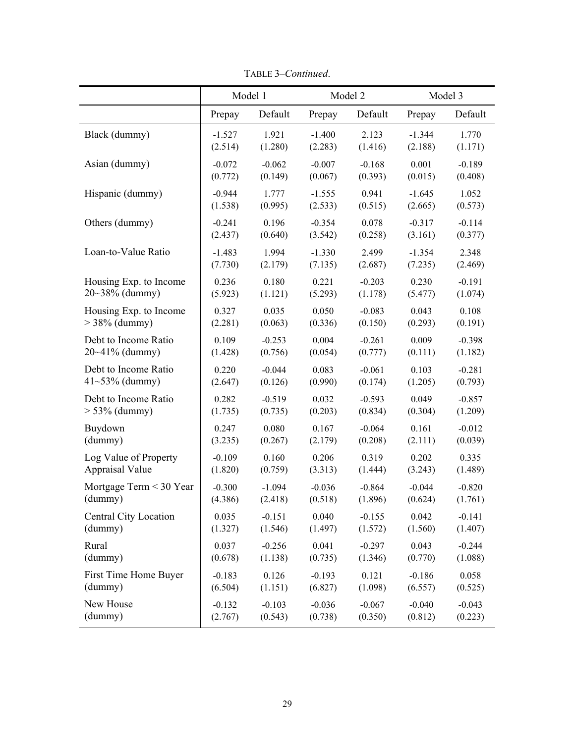|                              | Model 1  |          |          | Model 2  | Model 3  |          |
|------------------------------|----------|----------|----------|----------|----------|----------|
|                              | Prepay   | Default  | Prepay   | Default  | Prepay   | Default  |
| Black (dummy)                | $-1.527$ | 1.921    | $-1.400$ | 2.123    | $-1.344$ | 1.770    |
|                              | (2.514)  | (1.280)  | (2.283)  | (1.416)  | (2.188)  | (1.171)  |
| Asian (dummy)                | $-0.072$ | $-0.062$ | $-0.007$ | $-0.168$ | 0.001    | $-0.189$ |
|                              | (0.772)  | (0.149)  | (0.067)  | (0.393)  | (0.015)  | (0.408)  |
| Hispanic (dummy)             | $-0.944$ | 1.777    | $-1.555$ | 0.941    | $-1.645$ | 1.052    |
|                              | (1.538)  | (0.995)  | (2.533)  | (0.515)  | (2.665)  | (0.573)  |
| Others (dummy)               | $-0.241$ | 0.196    | $-0.354$ | 0.078    | $-0.317$ | $-0.114$ |
|                              | (2.437)  | (0.640)  | (3.542)  | (0.258)  | (3.161)  | (0.377)  |
| Loan-to-Value Ratio          | $-1.483$ | 1.994    | $-1.330$ | 2.499    | $-1.354$ | 2.348    |
|                              | (7.730)  | (2.179)  | (7.135)  | (2.687)  | (7.235)  | (2.469)  |
| Housing Exp. to Income       | 0.236    | 0.180    | 0.221    | $-0.203$ | 0.230    | $-0.191$ |
| $20~38\%$ (dummy)            | (5.923)  | (1.121)  | (5.293)  | (1.178)  | (5.477)  | (1.074)  |
| Housing Exp. to Income       | 0.327    | 0.035    | 0.050    | $-0.083$ | 0.043    | 0.108    |
| $>$ 38% (dummy)              | (2.281)  | (0.063)  | (0.336)  | (0.150)  | (0.293)  | (0.191)  |
| Debt to Income Ratio         | 0.109    | $-0.253$ | 0.004    | $-0.261$ | 0.009    | $-0.398$ |
| $20 - 41\%$ (dummy)          | (1.428)  | (0.756)  | (0.054)  | (0.777)  | (0.111)  | (1.182)  |
| Debt to Income Ratio         | 0.220    | $-0.044$ | 0.083    | $-0.061$ | 0.103    | $-0.281$ |
| $41 - 53\%$ (dummy)          | (2.647)  | (0.126)  | (0.990)  | (0.174)  | (1.205)  | (0.793)  |
| Debt to Income Ratio         | 0.282    | $-0.519$ | 0.032    | $-0.593$ | 0.049    | $-0.857$ |
| $> 53\%$ (dummy)             | (1.735)  | (0.735)  | (0.203)  | (0.834)  | (0.304)  | (1.209)  |
| Buydown                      | 0.247    | 0.080    | 0.167    | $-0.064$ | 0.161    | $-0.012$ |
| (dummy)                      | (3.235)  | (0.267)  | (2.179)  | (0.208)  | (2.111)  | (0.039)  |
| Log Value of Property        | $-0.109$ | 0.160    | 0.206    | 0.319    | 0.202    | 0.335    |
| <b>Appraisal Value</b>       | (1.820)  | (0.759)  | (3.313)  | (1.444)  | (3.243)  | (1.489)  |
| Mortgage Term < 30 Year      | $-0.300$ | $-1.094$ | $-0.036$ | $-0.864$ | $-0.044$ | $-0.820$ |
| (dummy)                      | (4.386)  | (2.418)  | (0.518)  | (1.896)  | (0.624)  | (1.761)  |
| <b>Central City Location</b> | 0.035    | $-0.151$ | 0.040    | $-0.155$ | 0.042    | $-0.141$ |
| (dummy)                      | (1.327)  | (1.546)  | (1.497)  | (1.572)  | (1.560)  | (1.407)  |
| Rural                        | 0.037    | $-0.256$ | 0.041    | $-0.297$ | 0.043    | $-0.244$ |
| (dummy)                      | (0.678)  | (1.138)  | (0.735)  | (1.346)  | (0.770)  | (1.088)  |
| First Time Home Buyer        | $-0.183$ | 0.126    | $-0.193$ | 0.121    | $-0.186$ | 0.058    |
| (dummy)                      | (6.504)  | (1.151)  | (6.827)  | (1.098)  | (6.557)  | (0.525)  |
| New House                    | $-0.132$ | $-0.103$ | $-0.036$ | $-0.067$ | $-0.040$ | $-0.043$ |
| (dummy)                      | (2.767)  | (0.543)  | (0.738)  | (0.350)  | (0.812)  | (0.223)  |

TABLE 3–*Continued*.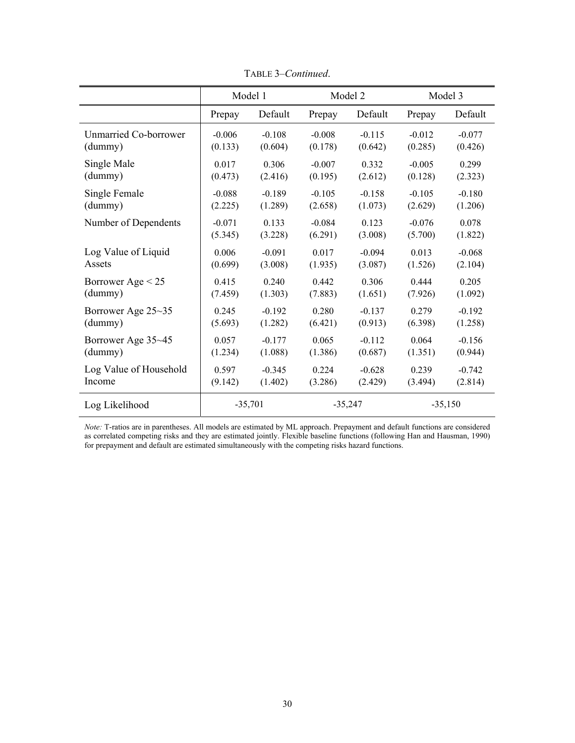|                        | Model 1   |          |           | Model 2  | Model 3   |          |
|------------------------|-----------|----------|-----------|----------|-----------|----------|
|                        | Prepay    | Default  | Prepay    | Default  | Prepay    | Default  |
| Unmarried Co-borrower  | $-0.006$  | $-0.108$ | $-0.008$  | $-0.115$ | $-0.012$  | $-0.077$ |
| (dummy)                | (0.133)   | (0.604)  | (0.178)   | (0.642)  | (0.285)   | (0.426)  |
| Single Male            | 0.017     | 0.306    | $-0.007$  | 0.332    | $-0.005$  | 0.299    |
| (dummy)                | (0.473)   | (2.416)  | (0.195)   | (2.612)  | (0.128)   | (2.323)  |
| Single Female          | $-0.088$  | $-0.189$ | $-0.105$  | $-0.158$ | $-0.105$  | $-0.180$ |
| (dummy)                | (2.225)   | (1.289)  | (2.658)   | (1.073)  | (2.629)   | (1.206)  |
| Number of Dependents   | $-0.071$  | 0.133    | $-0.084$  | 0.123    | $-0.076$  | 0.078    |
|                        | (5.345)   | (3.228)  | (6.291)   | (3.008)  | (5.700)   | (1.822)  |
| Log Value of Liquid    | 0.006     | $-0.091$ | 0.017     | $-0.094$ | 0.013     | $-0.068$ |
| Assets                 | (0.699)   | (3.008)  | (1.935)   | (3.087)  | (1.526)   | (2.104)  |
| Borrower Age $< 25$    | 0.415     | 0.240    | 0.442     | 0.306    | 0.444     | 0.205    |
| (dummy)                | (7.459)   | (1.303)  | (7.883)   | (1.651)  | (7.926)   | (1.092)  |
| Borrower Age 25~35     | 0.245     | $-0.192$ | 0.280     | $-0.137$ | 0.279     | $-0.192$ |
| (dummy)                | (5.693)   | (1.282)  | (6.421)   | (0.913)  | (6.398)   | (1.258)  |
| Borrower Age 35~45     | 0.057     | $-0.177$ | 0.065     | $-0.112$ | 0.064     | $-0.156$ |
| (dummy)                | (1.234)   | (1.088)  | (1.386)   | (0.687)  | (1.351)   | (0.944)  |
| Log Value of Household | 0.597     | $-0.345$ | 0.224     | $-0.628$ | 0.239     | $-0.742$ |
| Income                 | (9.142)   | (1.402)  | (3.286)   | (2.429)  | (3.494)   | (2.814)  |
| Log Likelihood         | $-35,701$ |          | $-35,247$ |          | $-35,150$ |          |

TABLE 3–*Continued*.

*Note:* T-ratios are in parentheses. All models are estimated by ML approach. Prepayment and default functions are considered as correlated competing risks and they are estimated jointly. Flexible baseline functions (following Han and Hausman, 1990) for prepayment and default are estimated simultaneously with the competing risks hazard functions.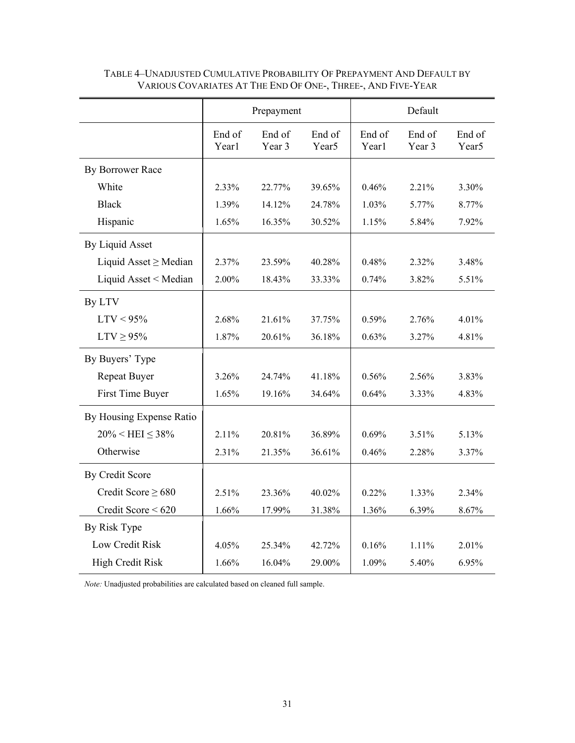|                            |                 | Prepayment       |                             | Default         |                  |                             |
|----------------------------|-----------------|------------------|-----------------------------|-----------------|------------------|-----------------------------|
|                            | End of<br>Year1 | End of<br>Year 3 | End of<br>Year <sub>5</sub> | End of<br>Year1 | End of<br>Year 3 | End of<br>Year <sub>5</sub> |
| By Borrower Race           |                 |                  |                             |                 |                  |                             |
| White                      | 2.33%           | 22.77%           | 39.65%                      | 0.46%           | 2.21%            | 3.30%                       |
| <b>Black</b>               | 1.39%           | 14.12%           | 24.78%                      | 1.03%           | 5.77%            | 8.77%                       |
| Hispanic                   | 1.65%           | 16.35%           | 30.52%                      | 1.15%           | 5.84%            | 7.92%                       |
| By Liquid Asset            |                 |                  |                             |                 |                  |                             |
| Liquid Asset $\geq$ Median | 2.37%           | 23.59%           | 40.28%                      | 0.48%           | 2.32%            | 3.48%                       |
| Liquid Asset < Median      | 2.00%           | 18.43%           | 33.33%                      | 0.74%           | 3.82%            | 5.51%                       |
| By LTV                     |                 |                  |                             |                 |                  |                             |
| $LTV < 95\%$               | 2.68%           | 21.61%           | 37.75%                      | 0.59%           | 2.76%            | 4.01%                       |
| $LTV \geq 95\%$            | 1.87%           | 20.61%           | 36.18%                      | 0.63%           | 3.27%            | 4.81%                       |
| By Buyers' Type            |                 |                  |                             |                 |                  |                             |
| Repeat Buyer               | 3.26%           | 24.74%           | 41.18%                      | 0.56%           | 2.56%            | 3.83%                       |
| First Time Buyer           | 1.65%           | 19.16%           | 34.64%                      | 0.64%           | 3.33%            | 4.83%                       |
| By Housing Expense Ratio   |                 |                  |                             |                 |                  |                             |
| $20\% < HEI \leq 38\%$     | 2.11%           | 20.81%           | 36.89%                      | 0.69%           | 3.51%            | 5.13%                       |
| Otherwise                  | 2.31%           | 21.35%           | 36.61%                      | 0.46%           | 2.28%            | 3.37%                       |
| By Credit Score            |                 |                  |                             |                 |                  |                             |
| Credit Score $\geq 680$    | 2.51%           | 23.36%           | 40.02%                      | 0.22%           | 1.33%            | 2.34%                       |
| Credit Score $< 620$       | 1.66%           | 17.99%           | 31.38%                      | 1.36%           | 6.39%            | 8.67%                       |
| By Risk Type               |                 |                  |                             |                 |                  |                             |
| Low Credit Risk            | 4.05%           | 25.34%           | 42.72%                      | 0.16%           | 1.11%            | 2.01%                       |
| <b>High Credit Risk</b>    | 1.66%           | 16.04%           | 29.00%                      | 1.09%           | 5.40%            | 6.95%                       |

## TABLE 4–UNADJUSTED CUMULATIVE PROBABILITY OF PREPAYMENT AND DEFAULT BY VARIOUS COVARIATES AT THE END OF ONE-, THREE-, AND FIVE-YEAR

*Note:* Unadjusted probabilities are calculated based on cleaned full sample.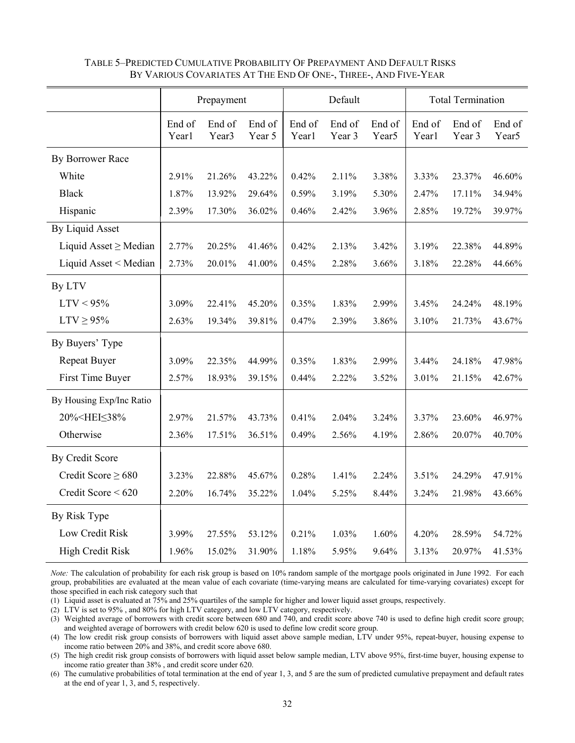|                                                                                                                                                                   |                 | Prepayment                  |                  | Default         |                  |                             | <b>Total Termination</b> |                  |                             |
|-------------------------------------------------------------------------------------------------------------------------------------------------------------------|-----------------|-----------------------------|------------------|-----------------|------------------|-----------------------------|--------------------------|------------------|-----------------------------|
|                                                                                                                                                                   | End of<br>Year1 | End of<br>Year <sub>3</sub> | End of<br>Year 5 | End of<br>Year1 | End of<br>Year 3 | End of<br>Year <sub>5</sub> | End of<br>Year1          | End of<br>Year 3 | End of<br>Year <sub>5</sub> |
| By Borrower Race                                                                                                                                                  |                 |                             |                  |                 |                  |                             |                          |                  |                             |
| White                                                                                                                                                             | 2.91%           | 21.26%                      | 43.22%           | 0.42%           | 2.11%            | 3.38%                       | 3.33%                    | 23.37%           | 46.60%                      |
| <b>Black</b>                                                                                                                                                      | 1.87%           | 13.92%                      | 29.64%           | 0.59%           | 3.19%            | 5.30%                       | 2.47%                    | 17.11%           | 34.94%                      |
| Hispanic                                                                                                                                                          | 2.39%           | 17.30%                      | 36.02%           | 0.46%           | 2.42%            | 3.96%                       | 2.85%                    | 19.72%           | 39.97%                      |
| <b>By Liquid Asset</b>                                                                                                                                            |                 |                             |                  |                 |                  |                             |                          |                  |                             |
| Liquid Asset $\geq$ Median                                                                                                                                        | 2.77%           | 20.25%                      | 41.46%           | 0.42%           | 2.13%            | 3.42%                       | 3.19%                    | 22.38%           | 44.89%                      |
| Liquid Asset < Median                                                                                                                                             | 2.73%           | 20.01%                      | 41.00%           | 0.45%           | 2.28%            | 3.66%                       | 3.18%                    | 22.28%           | 44.66%                      |
| By LTV                                                                                                                                                            |                 |                             |                  |                 |                  |                             |                          |                  |                             |
| $LTV < 95\%$                                                                                                                                                      | 3.09%           | 22.41%                      | 45.20%           | 0.35%           | 1.83%            | 2.99%                       | 3.45%                    | 24.24%           | 48.19%                      |
| $LTV \geq 95\%$                                                                                                                                                   | 2.63%           | 19.34%                      | 39.81%           | 0.47%           | 2.39%            | 3.86%                       | 3.10%                    | 21.73%           | 43.67%                      |
| By Buyers' Type                                                                                                                                                   |                 |                             |                  |                 |                  |                             |                          |                  |                             |
| <b>Repeat Buyer</b>                                                                                                                                               | 3.09%           | 22.35%                      | 44.99%           | 0.35%           | 1.83%            | 2.99%                       | 3.44%                    | 24.18%           | 47.98%                      |
| First Time Buyer                                                                                                                                                  | 2.57%           | 18.93%                      | 39.15%           | 0.44%           | 2.22%            | 3.52%                       | 3.01%                    | 21.15%           | 42.67%                      |
| By Housing Exp/Inc Ratio                                                                                                                                          |                 |                             |                  |                 |                  |                             |                          |                  |                             |
| 20% <hei≤38%< td=""><td>2.97%</td><td>21.57%</td><td>43.73%</td><td>0.41%</td><td>2.04%</td><td>3.24%</td><td>3.37%</td><td>23.60%</td><td>46.97%</td></hei≤38%<> | 2.97%           | 21.57%                      | 43.73%           | 0.41%           | 2.04%            | 3.24%                       | 3.37%                    | 23.60%           | 46.97%                      |
| Otherwise                                                                                                                                                         | 2.36%           | 17.51%                      | 36.51%           | 0.49%           | 2.56%            | 4.19%                       | 2.86%                    | 20.07%           | 40.70%                      |
| By Credit Score                                                                                                                                                   |                 |                             |                  |                 |                  |                             |                          |                  |                             |
| Credit Score $\geq 680$                                                                                                                                           | 3.23%           | 22.88%                      | 45.67%           | 0.28%           | 1.41%            | 2.24%                       | 3.51%                    | 24.29%           | 47.91%                      |
| Credit Score < 620                                                                                                                                                | 2.20%           | 16.74%                      | 35.22%           | 1.04%           | 5.25%            | 8.44%                       | 3.24%                    | 21.98%           | 43.66%                      |
| By Risk Type                                                                                                                                                      |                 |                             |                  |                 |                  |                             |                          |                  |                             |
| Low Credit Risk                                                                                                                                                   | 3.99%           | 27.55%                      | 53.12%           | 0.21%           | 1.03%            | 1.60%                       | 4.20%                    | 28.59%           | 54.72%                      |
| <b>High Credit Risk</b>                                                                                                                                           | 1.96%           | 15.02%                      | 31.90%           | 1.18%           | 5.95%            | 9.64%                       | 3.13%                    | 20.97%           | 41.53%                      |

## TABLE 5–PREDICTED CUMULATIVE PROBABILITY OF PREPAYMENT AND DEFAULT RISKS BY VARIOUS COVARIATES AT THE END OF ONE-, THREE-, AND FIVE-YEAR

*Note:* The calculation of probability for each risk group is based on 10% random sample of the mortgage pools originated in June 1992. For each group, probabilities are evaluated at the mean value of each covariate (time-varying means are calculated for time-varying covariates) except for those specified in each risk category such that

(1) Liquid asset is evaluated at 75% and 25% quartiles of the sample for higher and lower liquid asset groups, respectively.

(2) LTV is set to 95% , and 80% for high LTV category, and low LTV category, respectively.

(3) Weighted average of borrowers with credit score between 680 and 740, and credit score above 740 is used to define high credit score group; and weighted average of borrowers with credit below 620 is used to define low credit score group.

(4) The low credit risk group consists of borrowers with liquid asset above sample median, LTV under 95%, repeat-buyer, housing expense to income ratio between 20% and 38%, and credit score above 680.

(5) The high credit risk group consists of borrowers with liquid asset below sample median, LTV above 95%, first-time buyer, housing expense to income ratio greater than 38% , and credit score under 620.

(6) The cumulative probabilities of total termination at the end of year 1, 3, and 5 are the sum of predicted cumulative prepayment and default rates at the end of year 1, 3, and 5, respectively.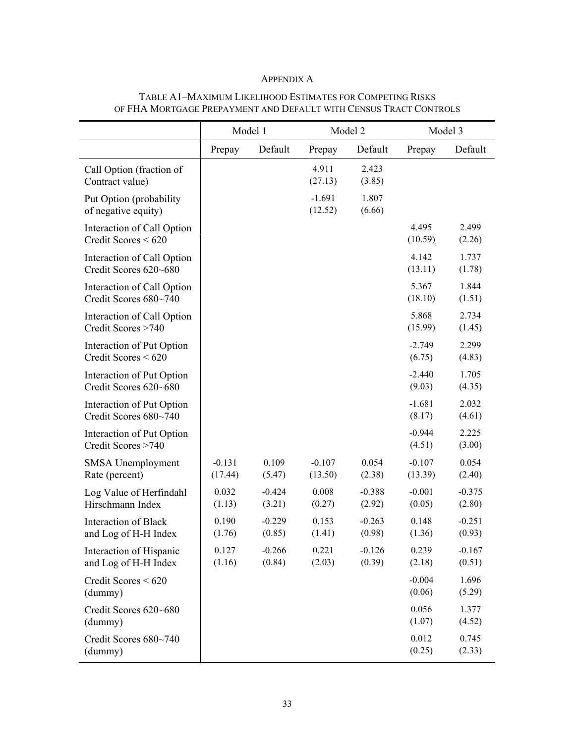## APPENDIX A

|                                                     | Model 1             |                    |                     | Model 2            | Model 3             |                    |
|-----------------------------------------------------|---------------------|--------------------|---------------------|--------------------|---------------------|--------------------|
|                                                     | Prepay              | Default            | Prepay              | Default            | Prepay              | Default            |
| Call Option (fraction of<br>Contract value)         |                     |                    | 4.911<br>(27.13)    | 2.423<br>(3.85)    |                     |                    |
| Put Option (probability<br>of negative equity)      |                     |                    | $-1.691$<br>(12.52) | 1.807<br>(6.66)    |                     |                    |
| Interaction of Call Option<br>Credit Scores $< 620$ |                     |                    |                     |                    | 4.495<br>(10.59)    | 2.499<br>(2.26)    |
| Interaction of Call Option<br>Credit Scores 620~680 |                     |                    |                     |                    | 4.142<br>(13.11)    | 1.737<br>(1.78)    |
| Interaction of Call Option<br>Credit Scores 680~740 |                     |                    |                     |                    | 5.367<br>(18.10)    | 1.844<br>(1.51)    |
| Interaction of Call Option<br>Credit Scores >740    |                     |                    |                     |                    | 5.868<br>(15.99)    | 2.734<br>(1.45)    |
| Interaction of Put Option<br>Credit Scores < 620    |                     |                    |                     |                    | $-2.749$<br>(6.75)  | 2.299<br>(4.83)    |
| Interaction of Put Option<br>Credit Scores 620~680  |                     |                    |                     |                    | $-2.440$<br>(9.03)  | 1.705<br>(4.35)    |
| Interaction of Put Option<br>Credit Scores 680~740  |                     |                    |                     |                    | $-1.681$<br>(8.17)  | 2.032<br>(4.61)    |
| Interaction of Put Option<br>Credit Scores >740     |                     |                    |                     |                    | $-0.944$<br>(4.51)  | 2.225<br>(3.00)    |
| SMSA Unemployment<br>Rate (percent)                 | $-0.131$<br>(17.44) | 0.109<br>(5.47)    | $-0.107$<br>(13.50) | 0.054<br>(2.38)    | $-0.107$<br>(13.39) | 0.054<br>(2.40)    |
| Log Value of Herfindahl<br>Hirschmann Index         | 0.032<br>(1.13)     | $-0.424$<br>(3.21) | 0.008<br>(0.27)     | $-0.388$<br>(2.92) | $-0.001$<br>(0.05)  | $-0.375$<br>(2.80) |
| <b>Interaction of Black</b><br>and Log of H-H Index | 0.190<br>(1.76)     | $-0.229$<br>(0.85) | 0.153<br>(1.41)     | $-0.263$<br>(0.98) | 0.148<br>(1.36)     | $-0.251$<br>(0.93) |
| Interaction of Hispanic<br>and Log of H-H Index     | 0.127<br>(1.16)     | $-0.266$<br>(0.84) | 0.221<br>(2.03)     | $-0.126$<br>(0.39) | 0.239<br>(2.18)     | $-0.167$<br>(0.51) |
| Credit Scores < 620<br>(dummy)                      |                     |                    |                     |                    | $-0.004$<br>(0.06)  | 1.696<br>(5.29)    |
| Credit Scores 620~680<br>(dummy)                    |                     |                    |                     |                    | 0.056<br>(1.07)     | 1.377<br>(4.52)    |
| Credit Scores 680~740<br>(dummy)                    |                     |                    |                     |                    | 0.012<br>(0.25)     | 0.745<br>(2.33)    |

## TABLE A1–MAXIMUM LIKELIHOOD ESTIMATES FOR COMPETING RISKS OF FHA MORTGAGE PREPAYMENT AND DEFAULT WITH CENSUS TRACT CONTROLS

۳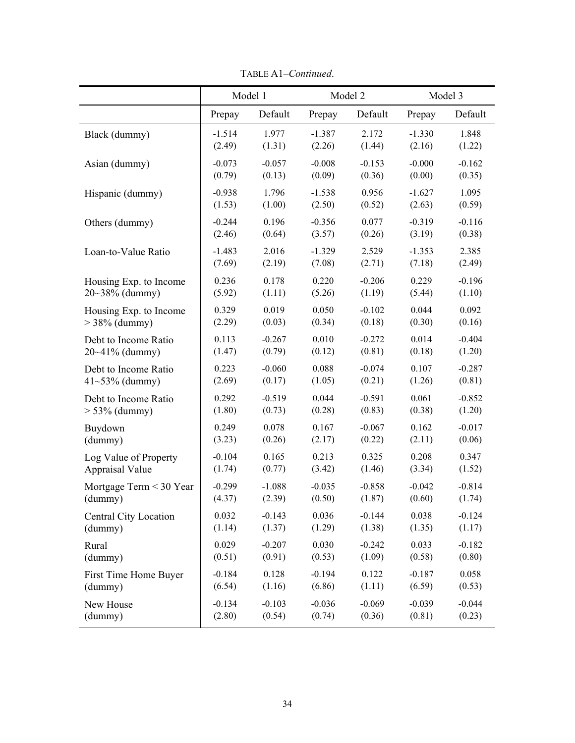|                         |          | Model 1  |          | Model 2  | Model 3  |          |
|-------------------------|----------|----------|----------|----------|----------|----------|
|                         | Prepay   | Default  | Prepay   | Default  | Prepay   | Default  |
| Black (dummy)           | $-1.514$ | 1.977    | $-1.387$ | 2.172    | $-1.330$ | 1.848    |
|                         | (2.49)   | (1.31)   | (2.26)   | (1.44)   | (2.16)   | (1.22)   |
| Asian (dummy)           | $-0.073$ | $-0.057$ | $-0.008$ | $-0.153$ | $-0.000$ | $-0.162$ |
|                         | (0.79)   | (0.13)   | (0.09)   | (0.36)   | (0.00)   | (0.35)   |
| Hispanic (dummy)        | $-0.938$ | 1.796    | $-1.538$ | 0.956    | $-1.627$ | 1.095    |
|                         | (1.53)   | (1.00)   | (2.50)   | (0.52)   | (2.63)   | (0.59)   |
| Others (dummy)          | $-0.244$ | 0.196    | $-0.356$ | 0.077    | $-0.319$ | $-0.116$ |
|                         | (2.46)   | (0.64)   | (3.57)   | (0.26)   | (3.19)   | (0.38)   |
| Loan-to-Value Ratio     | $-1.483$ | 2.016    | $-1.329$ | 2.529    | $-1.353$ | 2.385    |
|                         | (7.69)   | (2.19)   | (7.08)   | (2.71)   | (7.18)   | (2.49)   |
| Housing Exp. to Income  | 0.236    | 0.178    | 0.220    | $-0.206$ | 0.229    | $-0.196$ |
| $20~38\%$ (dummy)       | (5.92)   | (1.11)   | (5.26)   | (1.19)   | (5.44)   | (1.10)   |
| Housing Exp. to Income  | 0.329    | 0.019    | 0.050    | $-0.102$ | 0.044    | 0.092    |
| $>$ 38% (dummy)         | (2.29)   | (0.03)   | (0.34)   | (0.18)   | (0.30)   | (0.16)   |
| Debt to Income Ratio    | 0.113    | $-0.267$ | 0.010    | $-0.272$ | 0.014    | $-0.404$ |
| 20~41% (dummy)          | (1.47)   | (0.79)   | (0.12)   | (0.81)   | (0.18)   | (1.20)   |
| Debt to Income Ratio    | 0.223    | $-0.060$ | 0.088    | $-0.074$ | 0.107    | $-0.287$ |
| $41 - 53\%$ (dummy)     | (2.69)   | (0.17)   | (1.05)   | (0.21)   | (1.26)   | (0.81)   |
| Debt to Income Ratio    | 0.292    | $-0.519$ | 0.044    | $-0.591$ | 0.061    | $-0.852$ |
| $> 53\%$ (dummy)        | (1.80)   | (0.73)   | (0.28)   | (0.83)   | (0.38)   | (1.20)   |
| Buydown                 | 0.249    | 0.078    | 0.167    | $-0.067$ | 0.162    | $-0.017$ |
| (dummy)                 | (3.23)   | (0.26)   | (2.17)   | (0.22)   | (2.11)   | (0.06)   |
| Log Value of Property   | $-0.104$ | 0.165    | 0.213    | 0.325    | 0.208    | 0.347    |
| <b>Appraisal Value</b>  | (1.74)   | (0.77)   | (3.42)   | (1.46)   | (3.34)   | (1.52)   |
| Mortgage Term < 30 Year | $-0.299$ | $-1.088$ | $-0.035$ | $-0.858$ | $-0.042$ | $-0.814$ |
| (dummy)                 | (4.37)   | (2.39)   | (0.50)   | (1.87)   | (0.60)   | (1.74)   |
| Central City Location   | 0.032    | $-0.143$ | 0.036    | $-0.144$ | 0.038    | $-0.124$ |
| (dummy)                 | (1.14)   | (1.37)   | (1.29)   | (1.38)   | (1.35)   | (1.17)   |
| Rural                   | 0.029    | $-0.207$ | 0.030    | $-0.242$ | 0.033    | $-0.182$ |
| (dummy)                 | (0.51)   | (0.91)   | (0.53)   | (1.09)   | (0.58)   | (0.80)   |
| First Time Home Buyer   | $-0.184$ | 0.128    | $-0.194$ | 0.122    | $-0.187$ | 0.058    |
| (dummy)                 | (6.54)   | (1.16)   | (6.86)   | (1.11)   | (6.59)   | (0.53)   |
| New House               | $-0.134$ | $-0.103$ | $-0.036$ | $-0.069$ | $-0.039$ | $-0.044$ |
| (dummy)                 | (2.80)   | (0.54)   | (0.74)   | (0.36)   | (0.81)   | (0.23)   |

TABLE A1–*Continued*.